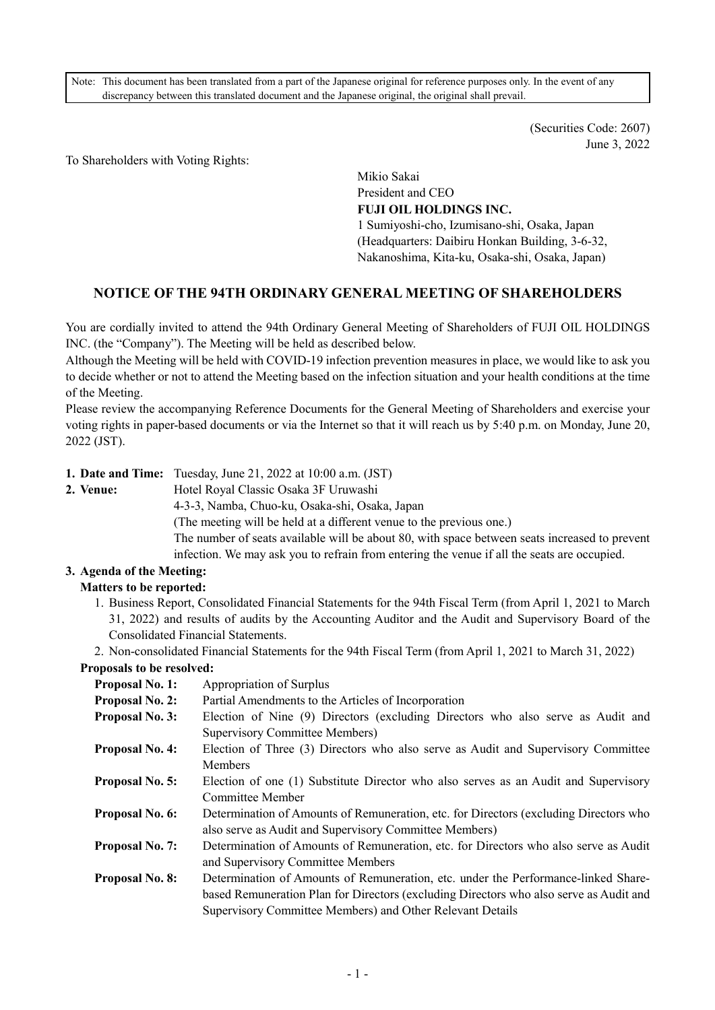Note: This document has been translated from a part of the Japanese original for reference purposes only. In the event of any discrepancy between this translated document and the Japanese original, the original shall prevail.

> (Securities Code: 2607) June 3, 2022

To Shareholders with Voting Rights:

Mikio Sakai President and CEO **FUJI OIL HOLDINGS INC.**  1 Sumiyoshi-cho, Izumisano-shi, Osaka, Japan (Headquarters: Daibiru Honkan Building, 3-6-32, Nakanoshima, Kita-ku, Osaka-shi, Osaka, Japan)

### **NOTICE OF THE 94TH ORDINARY GENERAL MEETING OF SHAREHOLDERS**

You are cordially invited to attend the 94th Ordinary General Meeting of Shareholders of FUJI OIL HOLDINGS INC. (the "Company"). The Meeting will be held as described below.

Although the Meeting will be held with COVID-19 infection prevention measures in place, we would like to ask you to decide whether or not to attend the Meeting based on the infection situation and your health conditions at the time of the Meeting.

Please review the accompanying Reference Documents for the General Meeting of Shareholders and exercise your voting rights in paper-based documents or via the Internet so that it will reach us by 5:40 p.m. on Monday, June 20, 2022 (JST).

- **1. Date and Time:** Tuesday, June 21, 2022 at 10:00 a.m. (JST)
- **2. Venue:** Hotel Royal Classic Osaka 3F Uruwashi

4-3-3, Namba, Chuo-ku, Osaka-shi, Osaka, Japan

(The meeting will be held at a different venue to the previous one.)

The number of seats available will be about 80, with space between seats increased to prevent infection. We may ask you to refrain from entering the venue if all the seats are occupied.

**3. Agenda of the Meeting:** 

### **Matters to be reported:**

1. Business Report, Consolidated Financial Statements for the 94th Fiscal Term (from April 1, 2021 to March 31, 2022) and results of audits by the Accounting Auditor and the Audit and Supervisory Board of the Consolidated Financial Statements.

2. Non-consolidated Financial Statements for the 94th Fiscal Term (from April 1, 2021 to March 31, 2022)

#### **Proposals to be resolved:**

| <b>Proposal No. 1:</b> | Appropriation of Surplus                                                               |
|------------------------|----------------------------------------------------------------------------------------|
| <b>Proposal No. 2:</b> | Partial Amendments to the Articles of Incorporation                                    |
| <b>Proposal No. 3:</b> | Election of Nine (9) Directors (excluding Directors who also serve as Audit and        |
|                        | Supervisory Committee Members)                                                         |
| <b>Proposal No. 4:</b> | Election of Three (3) Directors who also serve as Audit and Supervisory Committee      |
|                        | <b>Members</b>                                                                         |
| <b>Proposal No. 5:</b> | Election of one (1) Substitute Director who also serves as an Audit and Supervisory    |
|                        | Committee Member                                                                       |
| Proposal No. 6:        | Determination of Amounts of Remuneration, etc. for Directors (excluding Directors who  |
|                        | also serve as Audit and Supervisory Committee Members)                                 |
| <b>Proposal No. 7:</b> | Determination of Amounts of Remuneration, etc. for Directors who also serve as Audit   |
|                        | and Supervisory Committee Members                                                      |
| <b>Proposal No. 8:</b> | Determination of Amounts of Remuneration, etc. under the Performance-linked Share-     |
|                        | based Remuneration Plan for Directors (excluding Directors who also serve as Audit and |
|                        | Supervisory Committee Members) and Other Relevant Details                              |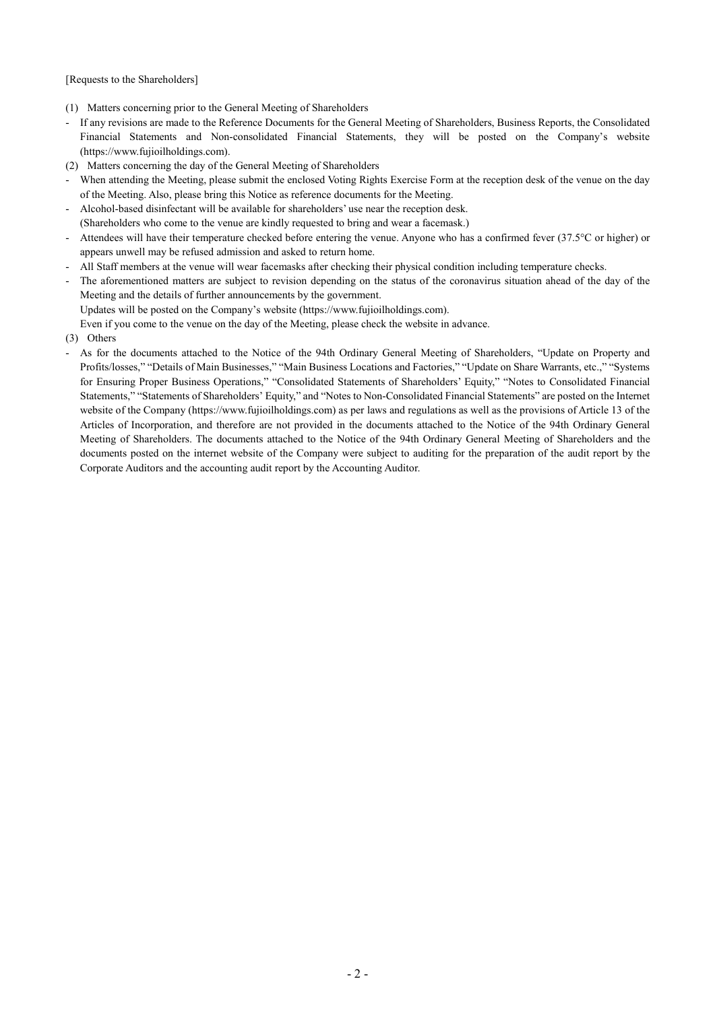[Requests to the Shareholders]

- (1) Matters concerning prior to the General Meeting of Shareholders
- If any revisions are made to the Reference Documents for the General Meeting of Shareholders, Business Reports, the Consolidated Financial Statements and Non-consolidated Financial Statements, they will be posted on the Company's website (https://www.fujioilholdings.com).
- (2) Matters concerning the day of the General Meeting of Shareholders
- When attending the Meeting, please submit the enclosed Voting Rights Exercise Form at the reception desk of the venue on the day of the Meeting. Also, please bring this Notice as reference documents for the Meeting.
- Alcohol-based disinfectant will be available for shareholders' use near the reception desk. (Shareholders who come to the venue are kindly requested to bring and wear a facemask.)
- Attendees will have their temperature checked before entering the venue. Anyone who has a confirmed fever (37.5°C or higher) or appears unwell may be refused admission and asked to return home.
- All Staff members at the venue will wear facemasks after checking their physical condition including temperature checks.
- The aforementioned matters are subject to revision depending on the status of the coronavirus situation ahead of the day of the Meeting and the details of further announcements by the government.

Updates will be posted on the Company's website (https://www.fujioilholdings.com).

Even if you come to the venue on the day of the Meeting, please check the website in advance.

- (3) Others
- As for the documents attached to the Notice of the 94th Ordinary General Meeting of Shareholders, "Update on Property and Profits/losses," "Details of Main Businesses," "Main Business Locations and Factories," "Update on Share Warrants, etc.," "Systems for Ensuring Proper Business Operations," "Consolidated Statements of Shareholders' Equity," "Notes to Consolidated Financial Statements," "Statements of Shareholders' Equity," and "Notes to Non-Consolidated Financial Statements" are posted on the Internet website of the Company (https://www.fujioilholdings.com) as per laws and regulations as well as the provisions of Article 13 of the Articles of Incorporation, and therefore are not provided in the documents attached to the Notice of the 94th Ordinary General Meeting of Shareholders. The documents attached to the Notice of the 94th Ordinary General Meeting of Shareholders and the documents posted on the internet website of the Company were subject to auditing for the preparation of the audit report by the Corporate Auditors and the accounting audit report by the Accounting Auditor.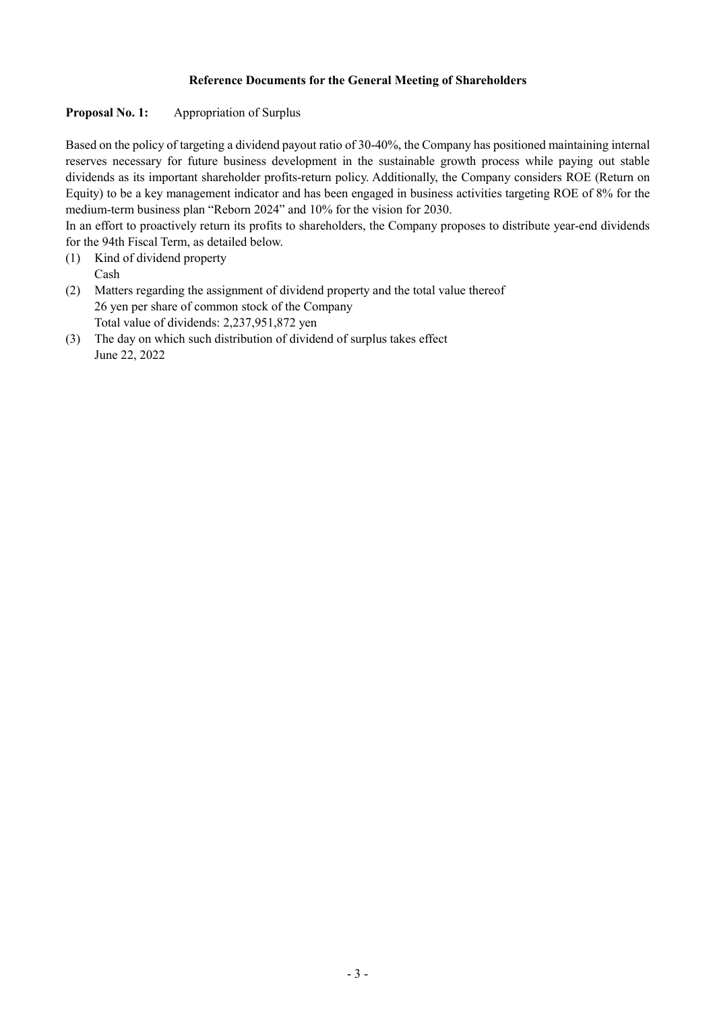# **Reference Documents for the General Meeting of Shareholders**

# Proposal No. 1: Appropriation of Surplus

Based on the policy of targeting a dividend payout ratio of 30-40%, the Company has positioned maintaining internal reserves necessary for future business development in the sustainable growth process while paying out stable dividends as its important shareholder profits-return policy. Additionally, the Company considers ROE (Return on Equity) to be a key management indicator and has been engaged in business activities targeting ROE of 8% for the medium-term business plan "Reborn 2024" and 10% for the vision for 2030.

In an effort to proactively return its profits to shareholders, the Company proposes to distribute year-end dividends for the 94th Fiscal Term, as detailed below.

- (1) Kind of dividend property Cash
- (2) Matters regarding the assignment of dividend property and the total value thereof 26 yen per share of common stock of the Company Total value of dividends: 2,237,951,872 yen
- (3) The day on which such distribution of dividend of surplus takes effect June 22, 2022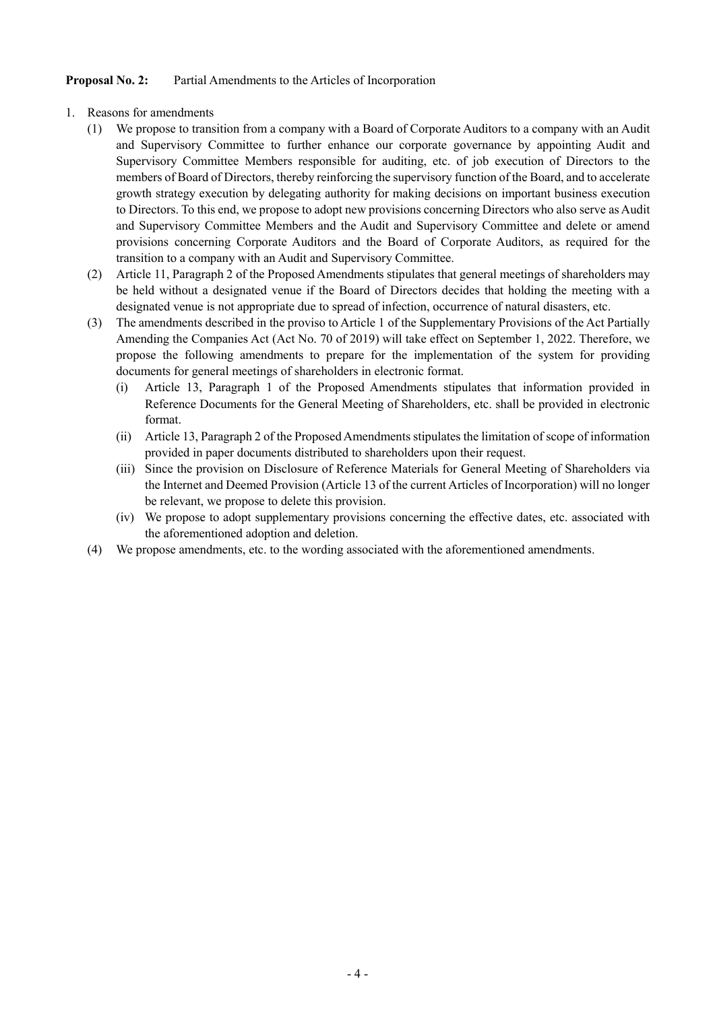## **Proposal No. 2:** Partial Amendments to the Articles of Incorporation

- 1. Reasons for amendments
	- (1) We propose to transition from a company with a Board of Corporate Auditors to a company with an Audit and Supervisory Committee to further enhance our corporate governance by appointing Audit and Supervisory Committee Members responsible for auditing, etc. of job execution of Directors to the members of Board of Directors, thereby reinforcing the supervisory function of the Board, and to accelerate growth strategy execution by delegating authority for making decisions on important business execution to Directors. To this end, we propose to adopt new provisions concerning Directors who also serve as Audit and Supervisory Committee Members and the Audit and Supervisory Committee and delete or amend provisions concerning Corporate Auditors and the Board of Corporate Auditors, as required for the transition to a company with an Audit and Supervisory Committee.
	- (2) Article 11, Paragraph 2 of the Proposed Amendments stipulates that general meetings of shareholders may be held without a designated venue if the Board of Directors decides that holding the meeting with a designated venue is not appropriate due to spread of infection, occurrence of natural disasters, etc.
	- (3) The amendments described in the proviso to Article 1 of the Supplementary Provisions of the Act Partially Amending the Companies Act (Act No. 70 of 2019) will take effect on September 1, 2022. Therefore, we propose the following amendments to prepare for the implementation of the system for providing documents for general meetings of shareholders in electronic format.
		- (i) Article 13, Paragraph 1 of the Proposed Amendments stipulates that information provided in Reference Documents for the General Meeting of Shareholders, etc. shall be provided in electronic format.
		- (ii) Article 13, Paragraph 2 of the Proposed Amendments stipulates the limitation of scope of information provided in paper documents distributed to shareholders upon their request.
		- (iii) Since the provision on Disclosure of Reference Materials for General Meeting of Shareholders via the Internet and Deemed Provision (Article 13 of the current Articles of Incorporation) will no longer be relevant, we propose to delete this provision.
		- (iv) We propose to adopt supplementary provisions concerning the effective dates, etc. associated with the aforementioned adoption and deletion.
	- (4) We propose amendments, etc. to the wording associated with the aforementioned amendments.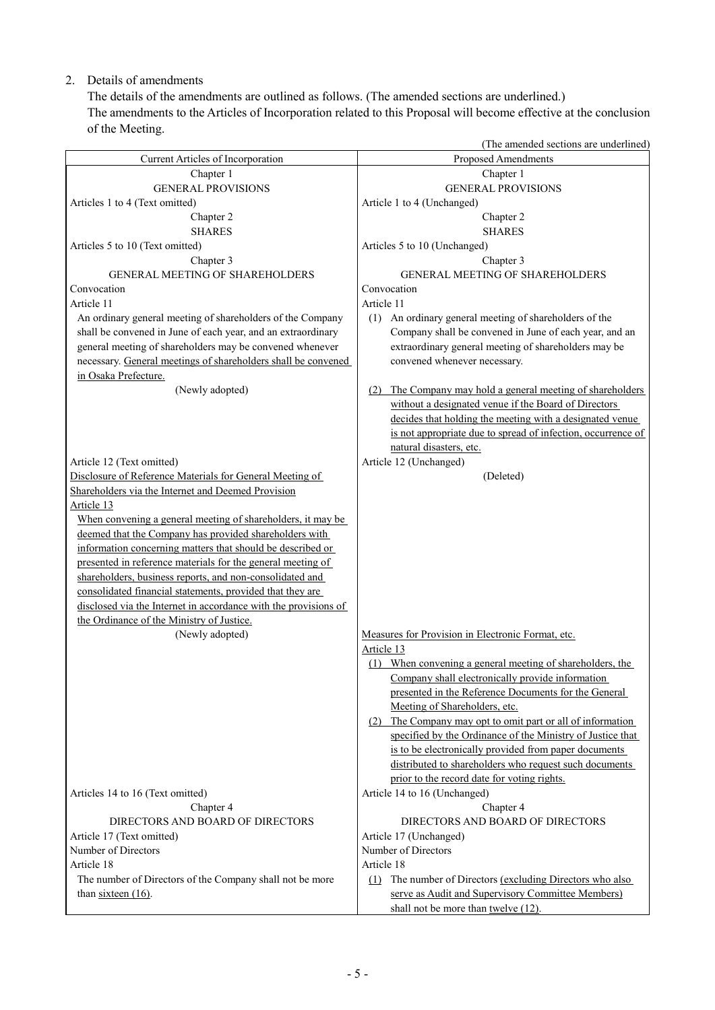# 2. Details of amendments

The details of the amendments are outlined as follows. (The amended sections are underlined.) The amendments to the Articles of Incorporation related to this Proposal will become effective at the conclusion of the Meeting.

|                                                                                       | (The amended sections are underlined)                                                   |
|---------------------------------------------------------------------------------------|-----------------------------------------------------------------------------------------|
| Current Articles of Incorporation                                                     | Proposed Amendments                                                                     |
| Chapter 1                                                                             | Chapter 1                                                                               |
| <b>GENERAL PROVISIONS</b>                                                             | <b>GENERAL PROVISIONS</b>                                                               |
| Articles 1 to 4 (Text omitted)                                                        | Article 1 to 4 (Unchanged)                                                              |
| Chapter 2                                                                             | Chapter 2                                                                               |
| <b>SHARES</b>                                                                         | <b>SHARES</b>                                                                           |
| Articles 5 to 10 (Text omitted)                                                       | Articles 5 to 10 (Unchanged)                                                            |
| Chapter 3                                                                             | Chapter 3                                                                               |
| GENERAL MEETING OF SHAREHOLDERS                                                       | <b>GENERAL MEETING OF SHAREHOLDERS</b>                                                  |
| Convocation                                                                           | Convocation                                                                             |
| Article 11                                                                            | Article 11                                                                              |
| An ordinary general meeting of shareholders of the Company                            | (1) An ordinary general meeting of shareholders of the                                  |
| shall be convened in June of each year, and an extraordinary                          | Company shall be convened in June of each year, and an                                  |
| general meeting of shareholders may be convened whenever                              | extraordinary general meeting of shareholders may be                                    |
| necessary. General meetings of shareholders shall be convened                         | convened whenever necessary.                                                            |
| in Osaka Prefecture.                                                                  |                                                                                         |
| (Newly adopted)                                                                       | The Company may hold a general meeting of shareholders<br>(2)                           |
|                                                                                       | without a designated venue if the Board of Directors                                    |
|                                                                                       | decides that holding the meeting with a designated venue                                |
|                                                                                       | is not appropriate due to spread of infection, occurrence of<br>natural disasters, etc. |
|                                                                                       | Article 12 (Unchanged)                                                                  |
| Article 12 (Text omitted)<br>Disclosure of Reference Materials for General Meeting of | (Deleted)                                                                               |
| Shareholders via the Internet and Deemed Provision                                    |                                                                                         |
| Article 13                                                                            |                                                                                         |
| When convening a general meeting of shareholders, it may be                           |                                                                                         |
| deemed that the Company has provided shareholders with                                |                                                                                         |
| information concerning matters that should be described or                            |                                                                                         |
| presented in reference materials for the general meeting of                           |                                                                                         |
| shareholders, business reports, and non-consolidated and                              |                                                                                         |
| consolidated financial statements, provided that they are                             |                                                                                         |
| disclosed via the Internet in accordance with the provisions of                       |                                                                                         |
| the Ordinance of the Ministry of Justice.                                             |                                                                                         |
| (Newly adopted)                                                                       | Measures for Provision in Electronic Format, etc.                                       |
|                                                                                       | Article 13                                                                              |
|                                                                                       | (1) When convening a general meeting of shareholders, the                               |
|                                                                                       | Company shall electronically provide information                                        |
|                                                                                       | presented in the Reference Documents for the General                                    |
|                                                                                       | Meeting of Shareholders, etc.                                                           |
|                                                                                       | (2) The Company may opt to omit part or all of information                              |
|                                                                                       | specified by the Ordinance of the Ministry of Justice that                              |
|                                                                                       | is to be electronically provided from paper documents                                   |
|                                                                                       | distributed to shareholders who request such documents                                  |
|                                                                                       | prior to the record date for voting rights.                                             |
| Articles 14 to 16 (Text omitted)                                                      | Article 14 to 16 (Unchanged)                                                            |
| Chapter 4                                                                             | Chapter 4                                                                               |
| DIRECTORS AND BOARD OF DIRECTORS                                                      | DIRECTORS AND BOARD OF DIRECTORS                                                        |
| Article 17 (Text omitted)                                                             | Article 17 (Unchanged)                                                                  |
| Number of Directors                                                                   | Number of Directors                                                                     |
| Article 18                                                                            | Article 18                                                                              |
| The number of Directors of the Company shall not be more                              | (1) The number of Directors (excluding Directors who also                               |
| than $s$ <i>ixteen</i> (16).                                                          | serve as Audit and Supervisory Committee Members)                                       |
|                                                                                       | shall not be more than twelve (12).                                                     |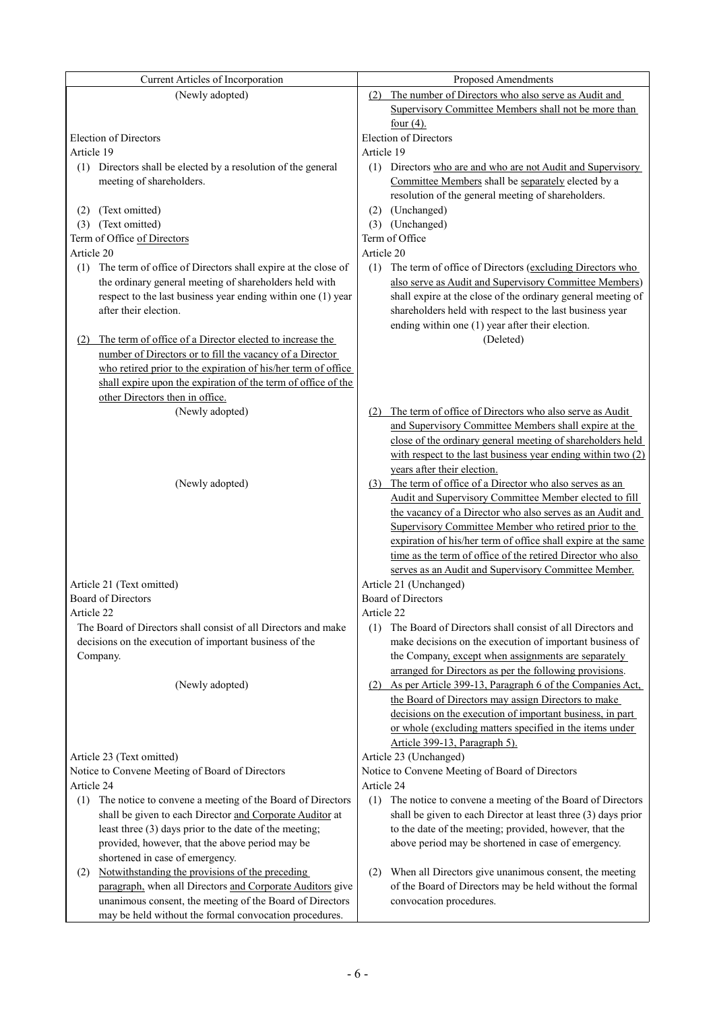| Current Articles of Incorporation                                   | Proposed Amendments                                                            |
|---------------------------------------------------------------------|--------------------------------------------------------------------------------|
| (Newly adopted)                                                     | The number of Directors who also serve as Audit and<br>(2)                     |
|                                                                     | Supervisory Committee Members shall not be more than                           |
|                                                                     | four $(4)$ .                                                                   |
| <b>Election of Directors</b>                                        | <b>Election of Directors</b>                                                   |
| Article 19                                                          | Article 19                                                                     |
| (1) Directors shall be elected by a resolution of the general       | (1) Directors who are and who are not Audit and Supervisory                    |
| meeting of shareholders.                                            | Committee Members shall be separately elected by a                             |
|                                                                     | resolution of the general meeting of shareholders.                             |
| (Text omitted)<br>(2)                                               | (Unchanged)<br>(2)                                                             |
| (Text omitted)<br>(3)                                               | (3) (Unchanged)                                                                |
| Term of Office of Directors                                         | Term of Office                                                                 |
| Article 20                                                          | Article 20                                                                     |
| The term of office of Directors shall expire at the close of<br>(1) | The term of office of Directors (excluding Directors who<br>(1)                |
| the ordinary general meeting of shareholders held with              | also serve as Audit and Supervisory Committee Members)                         |
| respect to the last business year ending within one (1) year        | shall expire at the close of the ordinary general meeting of                   |
| after their election.                                               | shareholders held with respect to the last business year                       |
|                                                                     | ending within one (1) year after their election.                               |
| The term of office of a Director elected to increase the<br>(2)     | (Deleted)                                                                      |
| number of Directors or to fill the vacancy of a Director            |                                                                                |
| who retired prior to the expiration of his/her term of office       |                                                                                |
| shall expire upon the expiration of the term of office of the       |                                                                                |
| other Directors then in office.                                     |                                                                                |
| (Newly adopted)                                                     | The term of office of Directors who also serve as Audit<br>(2)                 |
|                                                                     | and Supervisory Committee Members shall expire at the                          |
|                                                                     | close of the ordinary general meeting of shareholders held                     |
|                                                                     | with respect to the last business year ending within two (2)                   |
|                                                                     | years after their election.                                                    |
| (Newly adopted)                                                     | (3) The term of office of a Director who also serves as an                     |
|                                                                     | Audit and Supervisory Committee Member elected to fill                         |
|                                                                     | the vacancy of a Director who also serves as an Audit and                      |
|                                                                     | Supervisory Committee Member who retired prior to the                          |
|                                                                     | expiration of his/her term of office shall expire at the same                  |
|                                                                     | time as the term of office of the retired Director who also                    |
| Article 21 (Text omitted)                                           | serves as an Audit and Supervisory Committee Member.<br>Article 21 (Unchanged) |
| Board of Directors                                                  | <b>Board of Directors</b>                                                      |
| Article 22                                                          | Article 22                                                                     |
| The Board of Directors shall consist of all Directors and make      | The Board of Directors shall consist of all Directors and<br>(1)               |
| decisions on the execution of important business of the             | make decisions on the execution of important business of                       |
| Company.                                                            | the Company, except when assignments are separately                            |
|                                                                     | arranged for Directors as per the following provisions.                        |
| (Newly adopted)                                                     | (2) As per Article 399-13, Paragraph 6 of the Companies Act,                   |
|                                                                     | the Board of Directors may assign Directors to make                            |
|                                                                     | decisions on the execution of important business, in part                      |
|                                                                     | or whole (excluding matters specified in the items under                       |
|                                                                     | Article 399-13, Paragraph 5).                                                  |
| Article 23 (Text omitted)                                           | Article 23 (Unchanged)                                                         |
| Notice to Convene Meeting of Board of Directors                     | Notice to Convene Meeting of Board of Directors                                |
| Article 24                                                          | Article 24                                                                     |
| The notice to convene a meeting of the Board of Directors<br>(1)    | (1)<br>The notice to convene a meeting of the Board of Directors               |
| shall be given to each Director and Corporate Auditor at            | shall be given to each Director at least three (3) days prior                  |
| least three (3) days prior to the date of the meeting;              | to the date of the meeting; provided, however, that the                        |
| provided, however, that the above period may be                     | above period may be shortened in case of emergency.                            |
| shortened in case of emergency.                                     |                                                                                |
| Notwithstanding the provisions of the preceding<br>(2)              | When all Directors give unanimous consent, the meeting<br>(2)                  |
| paragraph, when all Directors and Corporate Auditors give           | of the Board of Directors may be held without the formal                       |
| unanimous consent, the meeting of the Board of Directors            | convocation procedures.                                                        |
| may be held without the formal convocation procedures.              |                                                                                |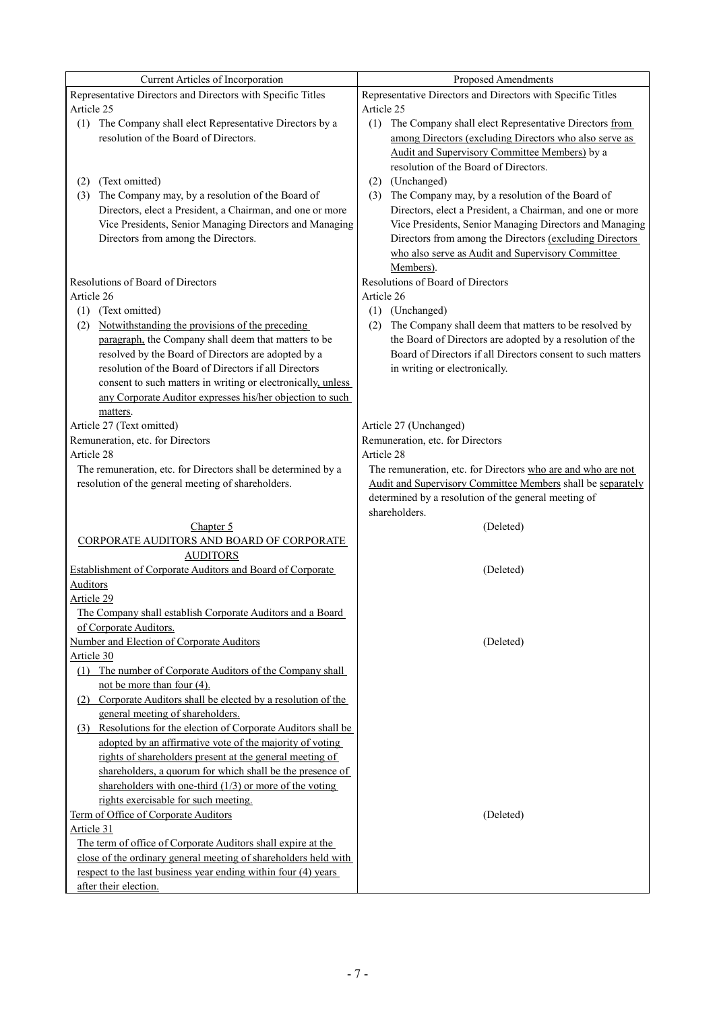| Current Articles of Incorporation                                                                                         | Proposed Amendments                                                                                                      |  |  |
|---------------------------------------------------------------------------------------------------------------------------|--------------------------------------------------------------------------------------------------------------------------|--|--|
| Representative Directors and Directors with Specific Titles                                                               | Representative Directors and Directors with Specific Titles                                                              |  |  |
| Article 25                                                                                                                | Article 25                                                                                                               |  |  |
| (1) The Company shall elect Representative Directors by a                                                                 | (1) The Company shall elect Representative Directors from                                                                |  |  |
| resolution of the Board of Directors.                                                                                     | among Directors (excluding Directors who also serve as                                                                   |  |  |
|                                                                                                                           | Audit and Supervisory Committee Members) by a                                                                            |  |  |
|                                                                                                                           | resolution of the Board of Directors.                                                                                    |  |  |
|                                                                                                                           |                                                                                                                          |  |  |
| (Text omitted)<br>(2)                                                                                                     | (2) (Unchanged)                                                                                                          |  |  |
| (3) The Company may, by a resolution of the Board of<br>Directors, elect a President, a Chairman, and one or more         | (3) The Company may, by a resolution of the Board of<br>Directors, elect a President, a Chairman, and one or more        |  |  |
|                                                                                                                           |                                                                                                                          |  |  |
| Vice Presidents, Senior Managing Directors and Managing<br>Directors from among the Directors.                            | Vice Presidents, Senior Managing Directors and Managing                                                                  |  |  |
|                                                                                                                           | Directors from among the Directors (excluding Directors<br>who also serve as Audit and Supervisory Committee             |  |  |
|                                                                                                                           | Members).                                                                                                                |  |  |
| Resolutions of Board of Directors                                                                                         | Resolutions of Board of Directors                                                                                        |  |  |
| Article 26                                                                                                                | Article 26                                                                                                               |  |  |
|                                                                                                                           |                                                                                                                          |  |  |
| (1) (Text omitted)                                                                                                        | (1) (Unchanged)                                                                                                          |  |  |
| (2) Notwithstanding the provisions of the preceding                                                                       | (2) The Company shall deem that matters to be resolved by                                                                |  |  |
| paragraph, the Company shall deem that matters to be<br>resolved by the Board of Directors are adopted by a               | the Board of Directors are adopted by a resolution of the<br>Board of Directors if all Directors consent to such matters |  |  |
| resolution of the Board of Directors if all Directors                                                                     |                                                                                                                          |  |  |
|                                                                                                                           | in writing or electronically.                                                                                            |  |  |
| consent to such matters in writing or electronically, unless<br>any Corporate Auditor expresses his/her objection to such |                                                                                                                          |  |  |
|                                                                                                                           |                                                                                                                          |  |  |
| matters.<br>Article 27 (Text omitted)                                                                                     |                                                                                                                          |  |  |
| Remuneration, etc. for Directors                                                                                          | Article 27 (Unchanged)<br>Remuneration, etc. for Directors                                                               |  |  |
| Article 28                                                                                                                | Article 28                                                                                                               |  |  |
| The remuneration, etc. for Directors shall be determined by a                                                             | The remuneration, etc. for Directors who are and who are not                                                             |  |  |
| resolution of the general meeting of shareholders.                                                                        | Audit and Supervisory Committee Members shall be separately                                                              |  |  |
|                                                                                                                           | determined by a resolution of the general meeting of                                                                     |  |  |
|                                                                                                                           | shareholders.                                                                                                            |  |  |
| Chapter 5                                                                                                                 | (Deleted)                                                                                                                |  |  |
| CORPORATE AUDITORS AND BOARD OF CORPORATE                                                                                 |                                                                                                                          |  |  |
| <b>AUDITORS</b>                                                                                                           |                                                                                                                          |  |  |
| Establishment of Corporate Auditors and Board of Corporate                                                                | (Deleted)                                                                                                                |  |  |
| <b>Auditors</b>                                                                                                           |                                                                                                                          |  |  |
| Article 29                                                                                                                |                                                                                                                          |  |  |
| The Company shall establish Corporate Auditors and a Board                                                                |                                                                                                                          |  |  |
| of Corporate Auditors.                                                                                                    |                                                                                                                          |  |  |
| Number and Election of Corporate Auditors                                                                                 | (Deleted)                                                                                                                |  |  |
| Article 30                                                                                                                |                                                                                                                          |  |  |
| (1) The number of Corporate Auditors of the Company shall                                                                 |                                                                                                                          |  |  |
| not be more than four $(4)$ .                                                                                             |                                                                                                                          |  |  |
| (2) Corporate Auditors shall be elected by a resolution of the                                                            |                                                                                                                          |  |  |
| general meeting of shareholders.                                                                                          |                                                                                                                          |  |  |
| (3) Resolutions for the election of Corporate Auditors shall be                                                           |                                                                                                                          |  |  |
| adopted by an affirmative vote of the majority of voting                                                                  |                                                                                                                          |  |  |
| rights of shareholders present at the general meeting of                                                                  |                                                                                                                          |  |  |
| shareholders, a quorum for which shall be the presence of                                                                 |                                                                                                                          |  |  |
| shareholders with one-third $(1/3)$ or more of the voting                                                                 |                                                                                                                          |  |  |
| rights exercisable for such meeting.                                                                                      |                                                                                                                          |  |  |
| Term of Office of Corporate Auditors                                                                                      | (Deleted)                                                                                                                |  |  |
| Article 31                                                                                                                |                                                                                                                          |  |  |
| The term of office of Corporate Auditors shall expire at the                                                              |                                                                                                                          |  |  |
| close of the ordinary general meeting of shareholders held with                                                           |                                                                                                                          |  |  |
| respect to the last business year ending within four (4) years                                                            |                                                                                                                          |  |  |
| after their election.                                                                                                     |                                                                                                                          |  |  |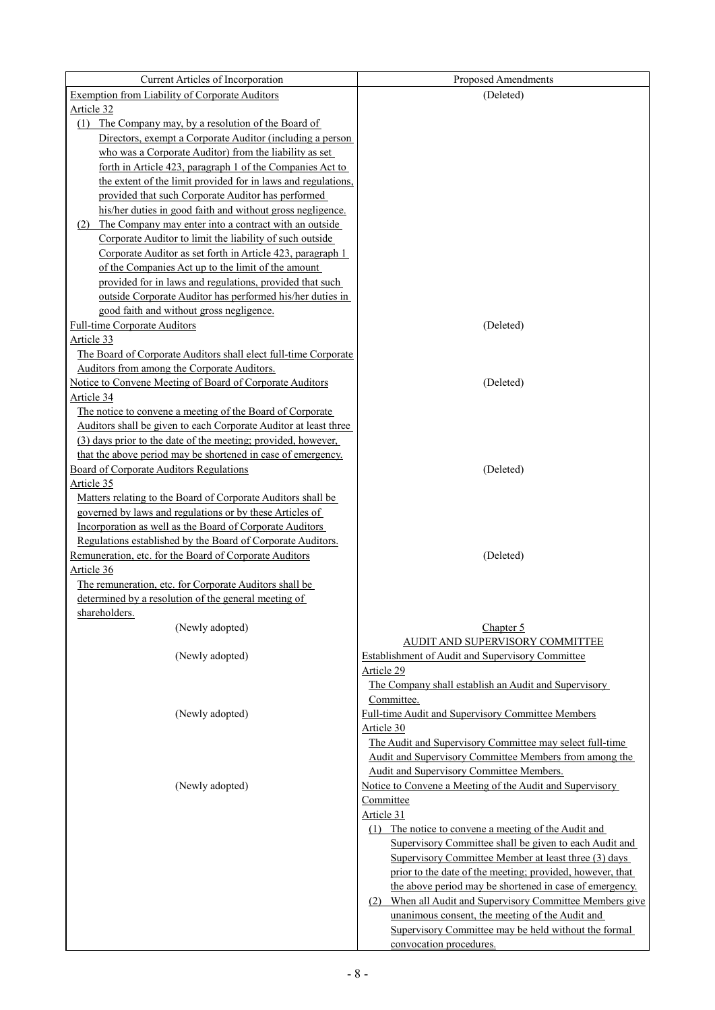| Current Articles of Incorporation                                                                       | Proposed Amendments                                       |
|---------------------------------------------------------------------------------------------------------|-----------------------------------------------------------|
| Exemption from Liability of Corporate Auditors                                                          | (Deleted)                                                 |
| Article 32                                                                                              |                                                           |
| (1) The Company may, by a resolution of the Board of                                                    |                                                           |
| Directors, exempt a Corporate Auditor (including a person                                               |                                                           |
| who was a Corporate Auditor) from the liability as set                                                  |                                                           |
| <u>forth in Article 423, paragraph 1 of the Companies Act to</u>                                        |                                                           |
| the extent of the limit provided for in laws and regulations,                                           |                                                           |
| provided that such Corporate Auditor has performed                                                      |                                                           |
| his/her duties in good faith and without gross negligence.                                              |                                                           |
| (2) The Company may enter into a contract with an outside                                               |                                                           |
| Corporate Auditor to limit the liability of such outside                                                |                                                           |
| Corporate Auditor as set forth in Article 423, paragraph 1                                              |                                                           |
| of the Companies Act up to the limit of the amount                                                      |                                                           |
| provided for in laws and regulations, provided that such                                                |                                                           |
| <u>outside Corporate Auditor has performed his/her duties in</u>                                        |                                                           |
| good faith and without gross negligence.                                                                |                                                           |
| <b>Full-time Corporate Auditors</b>                                                                     | (Deleted)                                                 |
| Article 33                                                                                              |                                                           |
| The Board of Corporate Auditors shall elect full-time Corporate                                         |                                                           |
| Auditors from among the Corporate Auditors.                                                             |                                                           |
| Notice to Convene Meeting of Board of Corporate Auditors                                                | (Deleted)                                                 |
| Article 34                                                                                              |                                                           |
| The notice to convene a meeting of the Board of Corporate                                               |                                                           |
| Auditors shall be given to each Corporate Auditor at least three                                        |                                                           |
| (3) days prior to the date of the meeting; provided, however,                                           |                                                           |
| that the above period may be shortened in case of emergency.<br>Board of Corporate Auditors Regulations | (Deleted)                                                 |
| Article 35                                                                                              |                                                           |
| Matters relating to the Board of Corporate Auditors shall be                                            |                                                           |
| governed by laws and regulations or by these Articles of                                                |                                                           |
| Incorporation as well as the Board of Corporate Auditors                                                |                                                           |
| Regulations established by the Board of Corporate Auditors.                                             |                                                           |
| Remuneration, etc. for the Board of Corporate Auditors                                                  | (Deleted)                                                 |
| Article 36                                                                                              |                                                           |
| The remuneration, etc. for Corporate Auditors shall be                                                  |                                                           |
| determined by a resolution of the general meeting of                                                    |                                                           |
| shareholders.                                                                                           |                                                           |
| (Newly adopted)                                                                                         | Chapter 5                                                 |
|                                                                                                         | AUDIT AND SUPERVISORY COMMITTEE                           |
| (Newly adopted)                                                                                         | Establishment of Audit and Supervisory Committee          |
|                                                                                                         | Article 29                                                |
|                                                                                                         | The Company shall establish an Audit and Supervisory      |
|                                                                                                         | Committee.                                                |
| (Newly adopted)                                                                                         | Full-time Audit and Supervisory Committee Members         |
|                                                                                                         | Article 30                                                |
|                                                                                                         | The Audit and Supervisory Committee may select full-time  |
|                                                                                                         | Audit and Supervisory Committee Members from among the    |
|                                                                                                         | Audit and Supervisory Committee Members.                  |
| (Newly adopted)                                                                                         | Notice to Convene a Meeting of the Audit and Supervisory  |
|                                                                                                         | Committee<br>Article 31                                   |
|                                                                                                         | (1) The notice to convene a meeting of the Audit and      |
|                                                                                                         | Supervisory Committee shall be given to each Audit and    |
|                                                                                                         | Supervisory Committee Member at least three (3) days      |
|                                                                                                         | prior to the date of the meeting; provided, however, that |
|                                                                                                         | the above period may be shortened in case of emergency.   |
|                                                                                                         | (2) When all Audit and Supervisory Committee Members give |
|                                                                                                         | unanimous consent, the meeting of the Audit and           |
|                                                                                                         | Supervisory Committee may be held without the formal      |
|                                                                                                         | convocation procedures.                                   |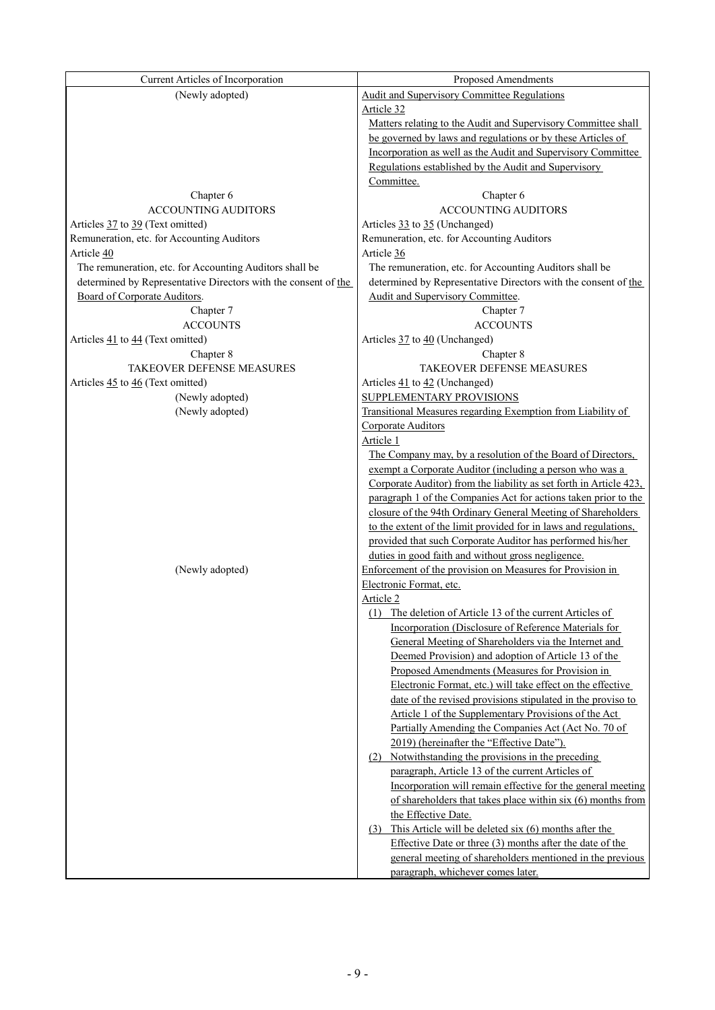| Current Articles of Incorporation                              | Proposed Amendments                                                |
|----------------------------------------------------------------|--------------------------------------------------------------------|
| (Newly adopted)                                                | <b>Audit and Supervisory Committee Regulations</b>                 |
|                                                                | Article 32                                                         |
|                                                                | Matters relating to the Audit and Supervisory Committee shall      |
|                                                                | be governed by laws and regulations or by these Articles of        |
|                                                                | Incorporation as well as the Audit and Supervisory Committee       |
|                                                                | Regulations established by the Audit and Supervisory               |
|                                                                | Committee.                                                         |
| Chapter 6                                                      | Chapter 6                                                          |
| <b>ACCOUNTING AUDITORS</b>                                     | <b>ACCOUNTING AUDITORS</b>                                         |
| Articles 37 to 39 (Text omitted)                               | Articles 33 to 35 (Unchanged)                                      |
| Remuneration, etc. for Accounting Auditors                     | Remuneration, etc. for Accounting Auditors                         |
| Article 40                                                     | Article 36                                                         |
| The remuneration, etc. for Accounting Auditors shall be        | The remuneration, etc. for Accounting Auditors shall be            |
| determined by Representative Directors with the consent of the | determined by Representative Directors with the consent of the     |
|                                                                | Audit and Supervisory Committee.                                   |
| Board of Corporate Auditors.                                   |                                                                    |
| Chapter 7                                                      | Chapter 7                                                          |
| <b>ACCOUNTS</b>                                                | <b>ACCOUNTS</b>                                                    |
| Articles 41 to 44 (Text omitted)                               | Articles 37 to 40 (Unchanged)                                      |
| Chapter 8                                                      | Chapter 8                                                          |
| TAKEOVER DEFENSE MEASURES                                      | TAKEOVER DEFENSE MEASURES                                          |
| Articles 45 to 46 (Text omitted)                               | Articles 41 to 42 (Unchanged)                                      |
| (Newly adopted)                                                | <b>SUPPLEMENTARY PROVISIONS</b>                                    |
| (Newly adopted)                                                | Transitional Measures regarding Exemption from Liability of        |
|                                                                | Corporate Auditors                                                 |
|                                                                | Article 1                                                          |
|                                                                | The Company may, by a resolution of the Board of Directors,        |
|                                                                | exempt a Corporate Auditor (including a person who was a           |
|                                                                | Corporate Auditor) from the liability as set forth in Article 423, |
|                                                                | paragraph 1 of the Companies Act for actions taken prior to the    |
|                                                                | closure of the 94th Ordinary General Meeting of Shareholders       |
|                                                                | to the extent of the limit provided for in laws and regulations,   |
|                                                                | provided that such Corporate Auditor has performed his/her         |
|                                                                | duties in good faith and without gross negligence.                 |
| (Newly adopted)                                                | Enforcement of the provision on Measures for Provision in          |
|                                                                | Electronic Format, etc.                                            |
|                                                                | Article 2                                                          |
|                                                                | (1) The deletion of Article 13 of the current Articles of          |
|                                                                | Incorporation (Disclosure of Reference Materials for               |
|                                                                | General Meeting of Shareholders via the Internet and               |
|                                                                | Deemed Provision) and adoption of Article 13 of the                |
|                                                                | Proposed Amendments (Measures for Provision in                     |
|                                                                | Electronic Format, etc.) will take effect on the effective         |
|                                                                | date of the revised provisions stipulated in the proviso to        |
|                                                                | Article 1 of the Supplementary Provisions of the Act               |
|                                                                | Partially Amending the Companies Act (Act No. 70 of                |
|                                                                | 2019) (hereinafter the "Effective Date").                          |
|                                                                | (2) Notwithstanding the provisions in the preceding                |
|                                                                | paragraph, Article 13 of the current Articles of                   |
|                                                                | Incorporation will remain effective for the general meeting        |
|                                                                | of shareholders that takes place within $six(6)$ months from       |
|                                                                | the Effective Date.                                                |
|                                                                | $(3)$ This Article will be deleted six $(6)$ months after the      |
|                                                                | Effective Date or three $(3)$ months after the date of the         |
|                                                                | general meeting of shareholders mentioned in the previous          |
|                                                                | paragraph, whichever comes later.                                  |
|                                                                |                                                                    |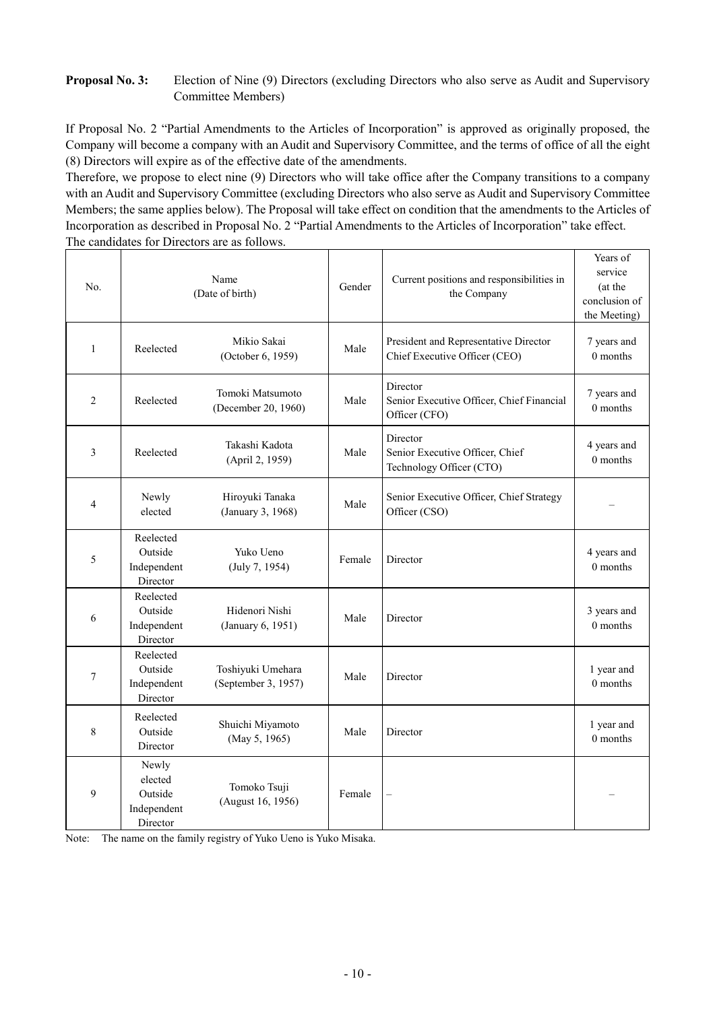# **Proposal No. 3:** Election of Nine (9) Directors (excluding Directors who also serve as Audit and Supervisory Committee Members)

If Proposal No. 2 "Partial Amendments to the Articles of Incorporation" is approved as originally proposed, the Company will become a company with an Audit and Supervisory Committee, and the terms of office of all the eight (8) Directors will expire as of the effective date of the amendments.

Therefore, we propose to elect nine (9) Directors who will take office after the Company transitions to a company with an Audit and Supervisory Committee (excluding Directors who also serve as Audit and Supervisory Committee Members; the same applies below). The Proposal will take effect on condition that the amendments to the Articles of Incorporation as described in Proposal No. 2 "Partial Amendments to the Articles of Incorporation" take effect. The candidates for Directors are as follows.

| No.            | Name<br>(Date of birth)                                |                                          | Gender | Current positions and responsibilities in<br>the Company                | Years of<br>service<br>(at the<br>conclusion of<br>the Meeting) |
|----------------|--------------------------------------------------------|------------------------------------------|--------|-------------------------------------------------------------------------|-----------------------------------------------------------------|
| $\mathbf{1}$   | Reelected                                              | Mikio Sakai<br>(October 6, 1959)         | Male   | President and Representative Director<br>Chief Executive Officer (CEO)  | 7 years and<br>0 months                                         |
| $\overline{2}$ | Reelected                                              | Tomoki Matsumoto<br>(December 20, 1960)  | Male   | Director<br>Senior Executive Officer, Chief Financial<br>Officer (CFO)  | 7 years and<br>0 months                                         |
| 3              | Reelected                                              | Takashi Kadota<br>(April 2, 1959)        | Male   | Director<br>Senior Executive Officer, Chief<br>Technology Officer (CTO) | 4 years and<br>0 months                                         |
| $\overline{4}$ | Newly<br>elected                                       | Hiroyuki Tanaka<br>(January 3, 1968)     | Male   | Senior Executive Officer, Chief Strategy<br>Officer (CSO)               |                                                                 |
| 5              | Reelected<br>Outside<br>Independent<br>Director        | Yuko Ueno<br>(July 7, 1954)              | Female | Director                                                                | 4 years and<br>0 months                                         |
| 6              | Reelected<br>Outside<br>Independent<br>Director        | Hidenori Nishi<br>(January 6, 1951)      | Male   | Director                                                                | 3 years and<br>0 months                                         |
| $\tau$         | Reelected<br>Outside<br>Independent<br>Director        | Toshiyuki Umehara<br>(September 3, 1957) | Male   | Director                                                                | 1 year and<br>0 months                                          |
| 8              | Reelected<br>Outside<br>Director                       | Shuichi Miyamoto<br>(May 5, 1965)        | Male   | Director                                                                | 1 year and<br>0 months                                          |
| 9              | Newly<br>elected<br>Outside<br>Independent<br>Director | Tomoko Tsuji<br>(August 16, 1956)        | Female | $\overline{\phantom{0}}$                                                |                                                                 |

Note: The name on the family registry of Yuko Ueno is Yuko Misaka.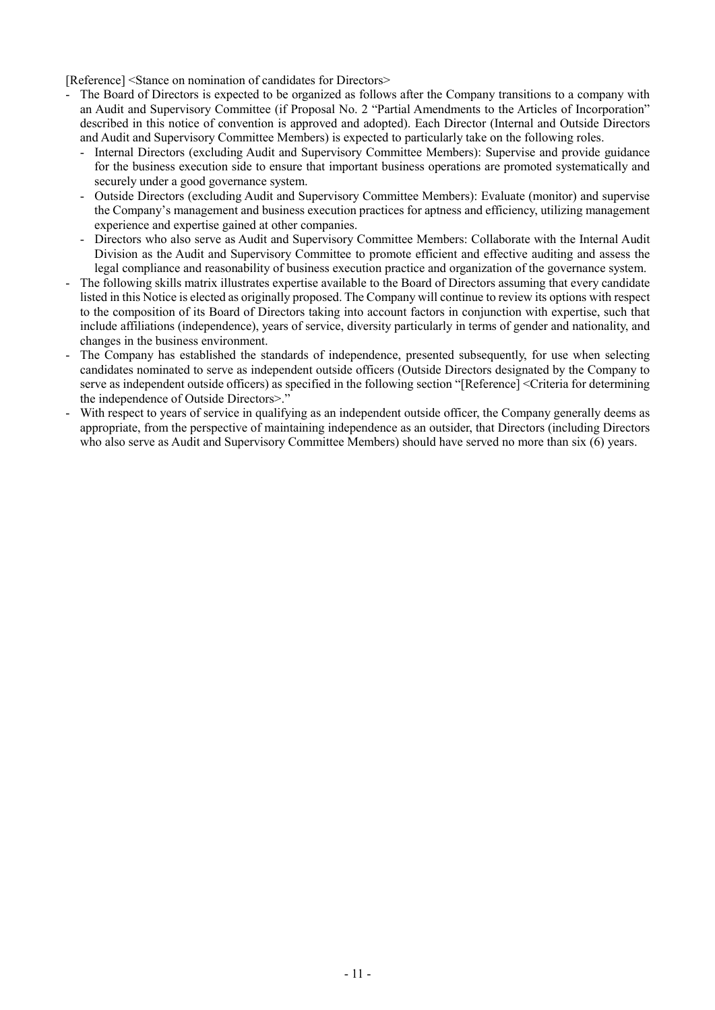[Reference] <Stance on nomination of candidates for Directors>

- The Board of Directors is expected to be organized as follows after the Company transitions to a company with an Audit and Supervisory Committee (if Proposal No. 2 "Partial Amendments to the Articles of Incorporation" described in this notice of convention is approved and adopted). Each Director (Internal and Outside Directors and Audit and Supervisory Committee Members) is expected to particularly take on the following roles.
	- Internal Directors (excluding Audit and Supervisory Committee Members): Supervise and provide guidance for the business execution side to ensure that important business operations are promoted systematically and securely under a good governance system.
	- Outside Directors (excluding Audit and Supervisory Committee Members): Evaluate (monitor) and supervise the Company's management and business execution practices for aptness and efficiency, utilizing management experience and expertise gained at other companies.
	- Directors who also serve as Audit and Supervisory Committee Members: Collaborate with the Internal Audit Division as the Audit and Supervisory Committee to promote efficient and effective auditing and assess the legal compliance and reasonability of business execution practice and organization of the governance system.
- The following skills matrix illustrates expertise available to the Board of Directors assuming that every candidate listed in this Notice is elected as originally proposed. The Company will continue to review its options with respect to the composition of its Board of Directors taking into account factors in conjunction with expertise, such that include affiliations (independence), years of service, diversity particularly in terms of gender and nationality, and changes in the business environment.
- The Company has established the standards of independence, presented subsequently, for use when selecting candidates nominated to serve as independent outside officers (Outside Directors designated by the Company to serve as independent outside officers) as specified in the following section "[Reference] <Criteria for determining the independence of Outside Directors>."
- With respect to years of service in qualifying as an independent outside officer, the Company generally deems as appropriate, from the perspective of maintaining independence as an outsider, that Directors (including Directors who also serve as Audit and Supervisory Committee Members) should have served no more than six (6) years.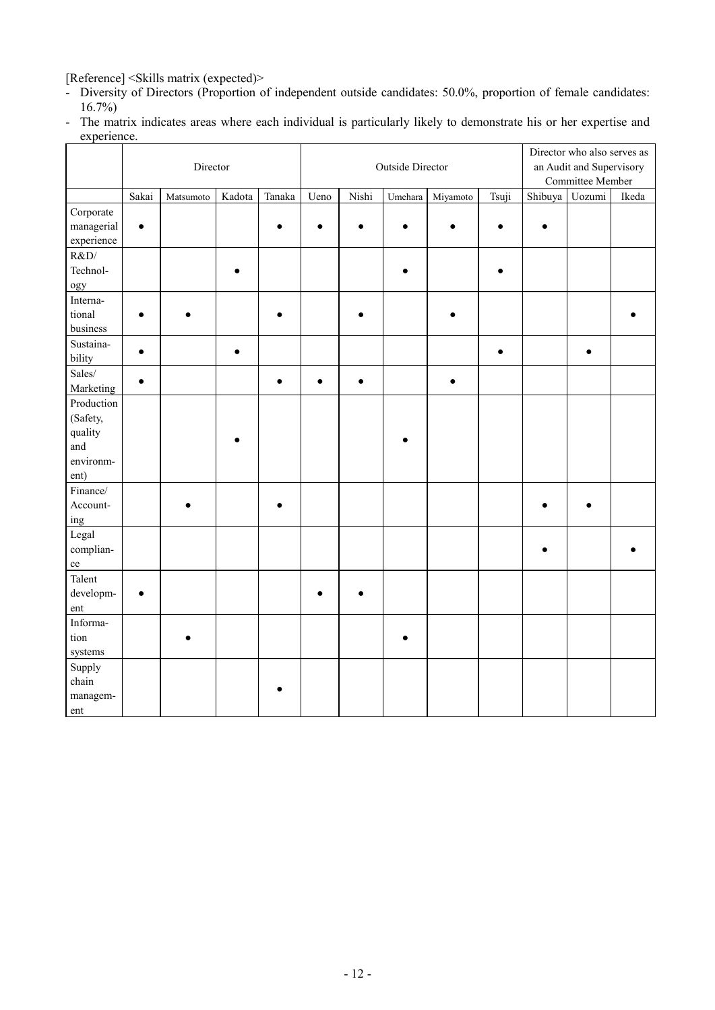[Reference] <Skills matrix (expected)>

- Diversity of Directors (Proportion of independent outside candidates: 50.0%, proportion of female candidates: 16.7%)
- The matrix indicates areas where each individual is particularly likely to demonstrate his or her expertise and experience.

|               | Director  |           | Outside Director |           |      | Director who also serves as<br>an Audit and Supervisory<br>Committee Member |         |           |           |         |        |       |
|---------------|-----------|-----------|------------------|-----------|------|-----------------------------------------------------------------------------|---------|-----------|-----------|---------|--------|-------|
|               | Sakai     | Matsumoto | Kadota           | Tanaka    | Ueno | Nishi                                                                       | Umehara | Miyamoto  | Tsuji     | Shibuya | Uozumi | Ikeda |
| Corporate     |           |           |                  |           |      |                                                                             |         |           |           |         |        |       |
| managerial    | $\bullet$ |           |                  |           |      |                                                                             |         |           |           |         |        |       |
| experience    |           |           |                  |           |      |                                                                             |         |           |           |         |        |       |
| R&D/          |           |           |                  |           |      |                                                                             |         |           |           |         |        |       |
| Technol-      |           |           |                  |           |      |                                                                             |         |           |           |         |        |       |
| ogy           |           |           |                  |           |      |                                                                             |         |           |           |         |        |       |
| Interna-      |           |           |                  |           |      |                                                                             |         |           |           |         |        |       |
| tional        |           |           |                  |           |      |                                                                             |         |           |           |         |        |       |
| business      |           |           |                  |           |      |                                                                             |         |           |           |         |        |       |
| Sustaina-     |           |           |                  |           |      |                                                                             |         |           |           |         |        |       |
| bility        | $\bullet$ |           | $\bullet$        |           |      |                                                                             |         |           | $\bullet$ |         | ė      |       |
| Sales/        |           |           |                  |           |      |                                                                             |         |           |           |         |        |       |
| Marketing     | $\bullet$ |           |                  | $\bullet$ |      | $\bullet$                                                                   |         | $\bullet$ |           |         |        |       |
| Production    |           |           |                  |           |      |                                                                             |         |           |           |         |        |       |
| (Safety,      |           |           |                  |           |      |                                                                             |         |           |           |         |        |       |
| quality       |           |           |                  |           |      |                                                                             |         |           |           |         |        |       |
| and           |           |           |                  |           |      |                                                                             |         |           |           |         |        |       |
| environm-     |           |           |                  |           |      |                                                                             |         |           |           |         |        |       |
| ent)          |           |           |                  |           |      |                                                                             |         |           |           |         |        |       |
| Finance/      |           |           |                  |           |      |                                                                             |         |           |           |         |        |       |
| Account-      |           |           |                  |           |      |                                                                             |         |           |           |         |        |       |
| ing           |           |           |                  |           |      |                                                                             |         |           |           |         |        |       |
| Legal         |           |           |                  |           |      |                                                                             |         |           |           |         |        |       |
| complian-     |           |           |                  |           |      |                                                                             |         |           |           |         |        |       |
| ce            |           |           |                  |           |      |                                                                             |         |           |           |         |        |       |
| Talent        |           |           |                  |           |      |                                                                             |         |           |           |         |        |       |
| developm-     | $\bullet$ |           |                  |           |      |                                                                             |         |           |           |         |        |       |
| ent           |           |           |                  |           |      |                                                                             |         |           |           |         |        |       |
| Informa-      |           |           |                  |           |      |                                                                             |         |           |           |         |        |       |
| tion          |           |           |                  |           |      |                                                                             |         |           |           |         |        |       |
| systems       |           |           |                  |           |      |                                                                             |         |           |           |         |        |       |
| Supply        |           |           |                  |           |      |                                                                             |         |           |           |         |        |       |
| ${\rm chain}$ |           |           |                  |           |      |                                                                             |         |           |           |         |        |       |
| managem-      |           |           |                  |           |      |                                                                             |         |           |           |         |        |       |
| ent           |           |           |                  |           |      |                                                                             |         |           |           |         |        |       |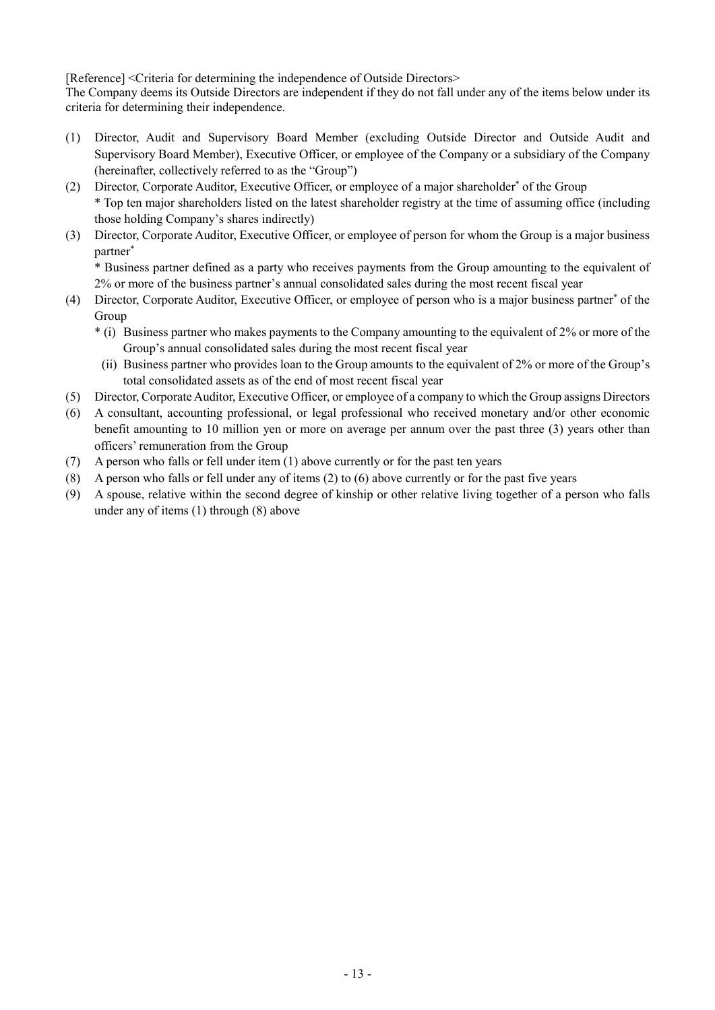[Reference] <Criteria for determining the independence of Outside Directors>

The Company deems its Outside Directors are independent if they do not fall under any of the items below under its criteria for determining their independence.

- (1) Director, Audit and Supervisory Board Member (excluding Outside Director and Outside Audit and Supervisory Board Member), Executive Officer, or employee of the Company or a subsidiary of the Company (hereinafter, collectively referred to as the "Group")
- (2) Director, Corporate Auditor, Executive Officer, or employee of a major shareholder<sup>\*</sup> of the Group \* Top ten major shareholders listed on the latest shareholder registry at the time of assuming office (including those holding Company's shares indirectly)
- (3) Director, Corporate Auditor, Executive Officer, or employee of person for whom the Group is a major business partner\*

\* Business partner defined as a party who receives payments from the Group amounting to the equivalent of 2% or more of the business partner's annual consolidated sales during the most recent fiscal year

- (4) Director, Corporate Auditor, Executive Officer, or employee of person who is a major business partner<sup>\*</sup> of the Group
	- \* (i) Business partner who makes payments to the Company amounting to the equivalent of 2% or more of the Group's annual consolidated sales during the most recent fiscal year
	- (ii) Business partner who provides loan to the Group amounts to the equivalent of 2% or more of the Group's total consolidated assets as of the end of most recent fiscal year
- (5) Director, Corporate Auditor, Executive Officer, or employee of a company to which the Group assigns Directors
- (6) A consultant, accounting professional, or legal professional who received monetary and/or other economic benefit amounting to 10 million yen or more on average per annum over the past three (3) years other than officers' remuneration from the Group
- (7) A person who falls or fell under item (1) above currently or for the past ten years
- (8) A person who falls or fell under any of items (2) to (6) above currently or for the past five years
- (9) A spouse, relative within the second degree of kinship or other relative living together of a person who falls under any of items (1) through (8) above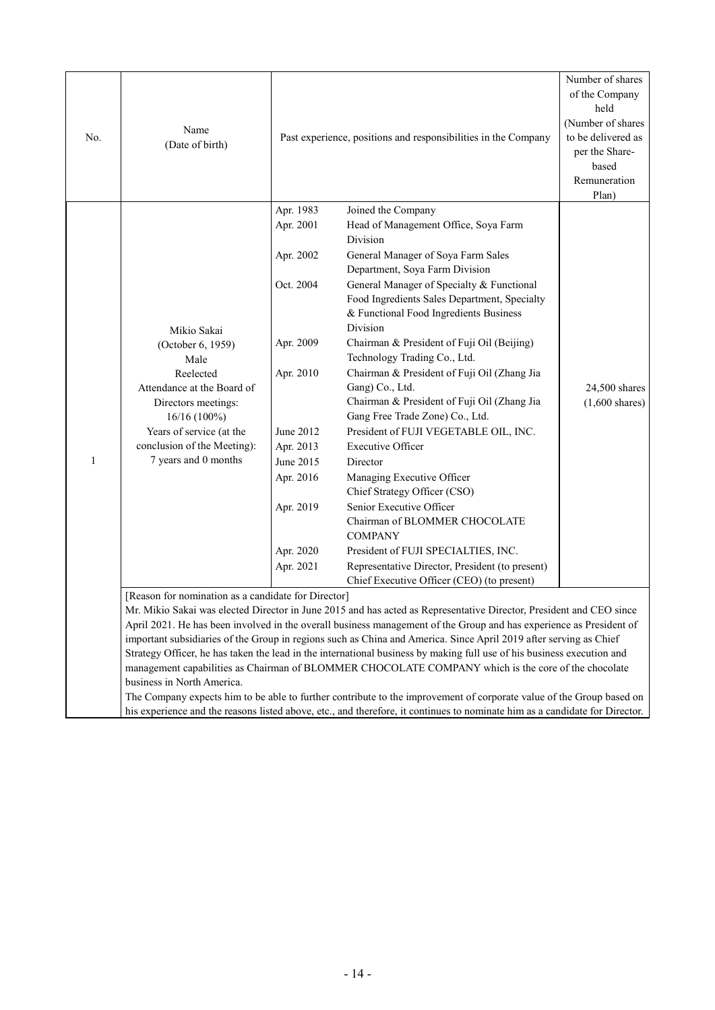| No. | Name<br>(Date of birth)                                                                                                                                                                                       |                                                                                                                                                                       | Past experience, positions and responsibilities in the Company                                                                                                                                                                                                                                                                                                                                                                                                                                                                                                                                                                                                                                                                                                                                                                                                                                            |                                                    |  |
|-----|---------------------------------------------------------------------------------------------------------------------------------------------------------------------------------------------------------------|-----------------------------------------------------------------------------------------------------------------------------------------------------------------------|-----------------------------------------------------------------------------------------------------------------------------------------------------------------------------------------------------------------------------------------------------------------------------------------------------------------------------------------------------------------------------------------------------------------------------------------------------------------------------------------------------------------------------------------------------------------------------------------------------------------------------------------------------------------------------------------------------------------------------------------------------------------------------------------------------------------------------------------------------------------------------------------------------------|----------------------------------------------------|--|
| 1   | Mikio Sakai<br>(October 6, 1959)<br>Male<br>Reelected<br>Attendance at the Board of<br>Directors meetings:<br>16/16 (100%)<br>Years of service (at the<br>conclusion of the Meeting):<br>7 years and 0 months | Apr. 1983<br>Apr. 2001<br>Apr. 2002<br>Oct. 2004<br>Apr. 2009<br>Apr. 2010<br>June 2012<br>Apr. 2013<br>June 2015<br>Apr. 2016<br>Apr. 2019<br>Apr. 2020<br>Apr. 2021 | Joined the Company<br>Head of Management Office, Soya Farm<br>Division<br>General Manager of Soya Farm Sales<br>Department, Soya Farm Division<br>General Manager of Specialty & Functional<br>Food Ingredients Sales Department, Specialty<br>& Functional Food Ingredients Business<br>Division<br>Chairman & President of Fuji Oil (Beijing)<br>Technology Trading Co., Ltd.<br>Chairman & President of Fuji Oil (Zhang Jia<br>Gang) Co., Ltd.<br>Chairman & President of Fuji Oil (Zhang Jia<br>Gang Free Trade Zone) Co., Ltd.<br>President of FUJI VEGETABLE OIL, INC.<br><b>Executive Officer</b><br>Director<br>Managing Executive Officer<br>Chief Strategy Officer (CSO)<br>Senior Executive Officer<br>Chairman of BLOMMER CHOCOLATE<br><b>COMPANY</b><br>President of FUJI SPECIALTIES, INC.<br>Representative Director, President (to present)<br>Chief Executive Officer (CEO) (to present) | Plan)<br>24,500 shares<br>$(1,600 \text{ shares})$ |  |
|     | [Reason for nomination as a candidate for Director]<br>business in North America.                                                                                                                             |                                                                                                                                                                       | Mr. Mikio Sakai was elected Director in June 2015 and has acted as Representative Director, President and CEO since<br>April 2021. He has been involved in the overall business management of the Group and has experience as President of<br>important subsidiaries of the Group in regions such as China and America. Since April 2019 after serving as Chief<br>Strategy Officer, he has taken the lead in the international business by making full use of his business execution and<br>management capabilities as Chairman of BLOMMER CHOCOLATE COMPANY which is the core of the chocolate<br>The Company expects him to be able to further contribute to the improvement of corporate value of the Group based on<br>his experience and the reasons listed above, etc., and therefore, it continues to nominate him as a candidate for Director.                                                   |                                                    |  |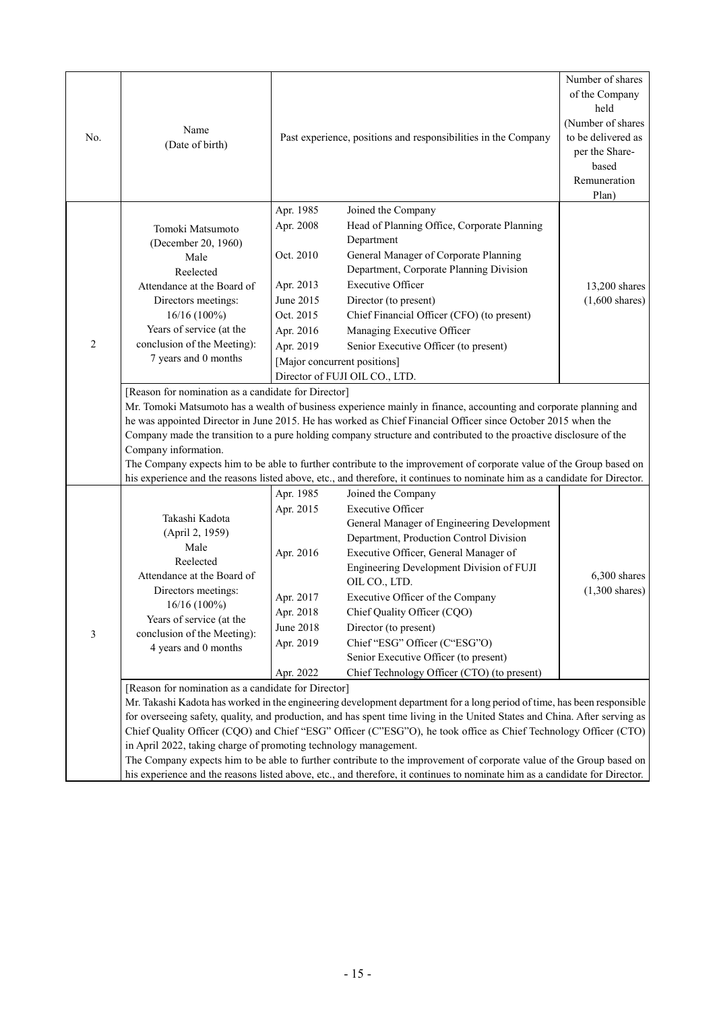| No.            | Name<br>(Date of birth)                                                                                                                                                                                                                                                                                                                     |                                                                                                             | Past experience, positions and responsibilities in the Company                                                                                                                                                                                                                                                                                                                                                                                                                                                                                                                                                                                                                                                                                                                                                                                                                                                                                                         | Number of shares<br>of the Company<br>held<br>(Number of shares<br>to be delivered as<br>per the Share-<br>based<br>Remuneration<br>Plan) |
|----------------|---------------------------------------------------------------------------------------------------------------------------------------------------------------------------------------------------------------------------------------------------------------------------------------------------------------------------------------------|-------------------------------------------------------------------------------------------------------------|------------------------------------------------------------------------------------------------------------------------------------------------------------------------------------------------------------------------------------------------------------------------------------------------------------------------------------------------------------------------------------------------------------------------------------------------------------------------------------------------------------------------------------------------------------------------------------------------------------------------------------------------------------------------------------------------------------------------------------------------------------------------------------------------------------------------------------------------------------------------------------------------------------------------------------------------------------------------|-------------------------------------------------------------------------------------------------------------------------------------------|
| $\overline{2}$ | Tomoki Matsumoto<br>(December 20, 1960)<br>Male<br>Reelected<br>Attendance at the Board of<br>Directors meetings:<br>$16/16(100\%)$<br>Years of service (at the<br>conclusion of the Meeting):<br>7 years and 0 months                                                                                                                      | Apr. 1985<br>Apr. 2008<br>Oct. 2010<br>Apr. 2013<br>June 2015<br>Oct. 2015<br>Apr. 2016<br>Apr. 2019        | Joined the Company<br>Head of Planning Office, Corporate Planning<br>Department<br>General Manager of Corporate Planning<br>Department, Corporate Planning Division<br><b>Executive Officer</b><br>Director (to present)<br>Chief Financial Officer (CFO) (to present)<br>Managing Executive Officer<br>Senior Executive Officer (to present)<br>[Major concurrent positions]<br>Director of FUJI OIL CO., LTD.                                                                                                                                                                                                                                                                                                                                                                                                                                                                                                                                                        | 13,200 shares<br>$(1,600 \text{ shares})$                                                                                                 |
|                | [Reason for nomination as a candidate for Director]<br>Company information.                                                                                                                                                                                                                                                                 |                                                                                                             | Mr. Tomoki Matsumoto has a wealth of business experience mainly in finance, accounting and corporate planning and<br>he was appointed Director in June 2015. He has worked as Chief Financial Officer since October 2015 when the<br>Company made the transition to a pure holding company structure and contributed to the proactive disclosure of the<br>The Company expects him to be able to further contribute to the improvement of corporate value of the Group based on<br>his experience and the reasons listed above, etc., and therefore, it continues to nominate him as a candidate for Director.                                                                                                                                                                                                                                                                                                                                                         |                                                                                                                                           |
| 3              | Takashi Kadota<br>(April 2, 1959)<br>Male<br>Reelected<br>Attendance at the Board of<br>Directors meetings:<br>$16/16(100\%)$<br>Years of service (at the<br>conclusion of the Meeting):<br>4 years and 0 months<br>[Reason for nomination as a candidate for Director]<br>in April 2022, taking charge of promoting technology management. | Apr. 1985<br>Apr. 2015<br>Apr. 2016<br>Apr. 2017<br>Apr. 2018<br><b>June 2018</b><br>Apr. 2019<br>Apr. 2022 | Joined the Company<br><b>Executive Officer</b><br>General Manager of Engineering Development<br>Department, Production Control Division<br>Executive Officer, General Manager of<br>Engineering Development Division of FUJI<br>OIL CO., LTD.<br>Executive Officer of the Company<br>Chief Quality Officer (CQO)<br>Director (to present)<br>Chief "ESG" Officer (C"ESG"O)<br>Senior Executive Officer (to present)<br>Chief Technology Officer (CTO) (to present)<br>Mr. Takashi Kadota has worked in the engineering development department for a long period of time, has been responsible<br>for overseeing safety, quality, and production, and has spent time living in the United States and China. After serving as<br>Chief Quality Officer (CQO) and Chief "ESG" Officer (C"ESG"O), he took office as Chief Technology Officer (CTO)<br>The Company expects him to be able to further contribute to the improvement of corporate value of the Group based on | 6,300 shares<br>$(1,300 \text{ shares})$                                                                                                  |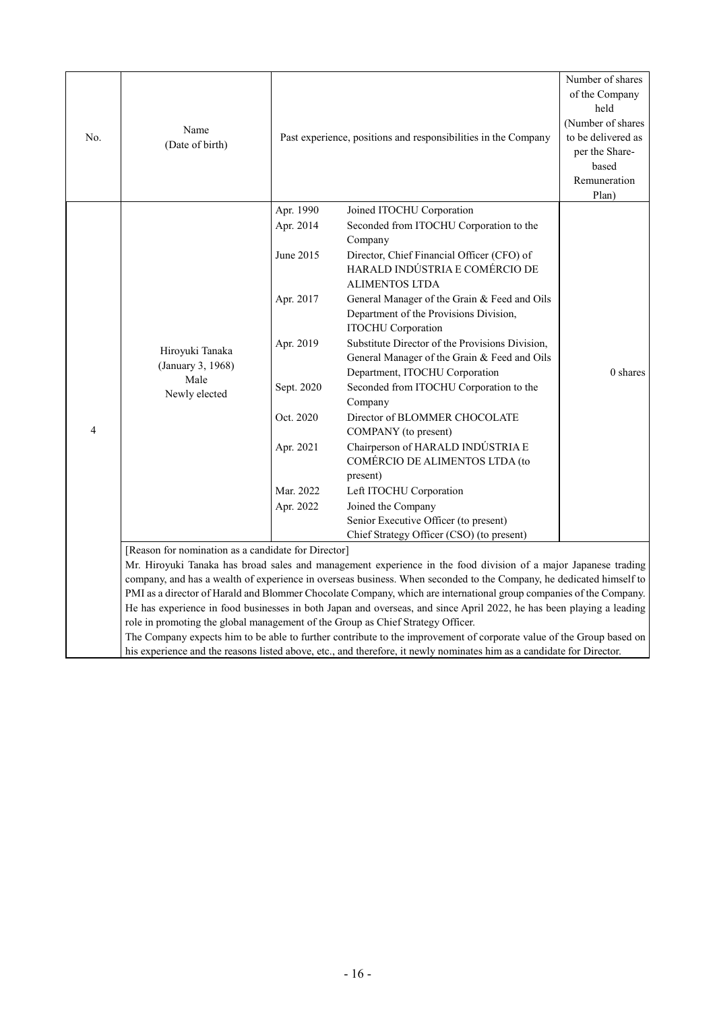| No.            | Name<br>(Date of birth)                                                                                                                                                                                                                                                                                                                                                                                                                                                                                                                                                                                                                                                                                                                                                                                                                                                        |                                                                                                                                 | Past experience, positions and responsibilities in the Company                                                                                                                                                                                                                                                                                                                                                                                                                                                                                                                                                                                                                                                                                                                                | Number of shares<br>of the Company<br>held<br>(Number of shares<br>to be delivered as<br>per the Share-<br>based<br>Remuneration<br>Plan) |  |  |
|----------------|--------------------------------------------------------------------------------------------------------------------------------------------------------------------------------------------------------------------------------------------------------------------------------------------------------------------------------------------------------------------------------------------------------------------------------------------------------------------------------------------------------------------------------------------------------------------------------------------------------------------------------------------------------------------------------------------------------------------------------------------------------------------------------------------------------------------------------------------------------------------------------|---------------------------------------------------------------------------------------------------------------------------------|-----------------------------------------------------------------------------------------------------------------------------------------------------------------------------------------------------------------------------------------------------------------------------------------------------------------------------------------------------------------------------------------------------------------------------------------------------------------------------------------------------------------------------------------------------------------------------------------------------------------------------------------------------------------------------------------------------------------------------------------------------------------------------------------------|-------------------------------------------------------------------------------------------------------------------------------------------|--|--|
| $\overline{4}$ | Hiroyuki Tanaka<br>(January 3, 1968)<br>Male<br>Newly elected                                                                                                                                                                                                                                                                                                                                                                                                                                                                                                                                                                                                                                                                                                                                                                                                                  | Apr. 1990<br>Apr. 2014<br>June 2015<br>Apr. 2017<br>Apr. 2019<br>Sept. 2020<br>Oct. 2020<br>Apr. 2021<br>Mar. 2022<br>Apr. 2022 | Joined ITOCHU Corporation<br>Seconded from ITOCHU Corporation to the<br>Company<br>Director, Chief Financial Officer (CFO) of<br>HARALD INDÚSTRIA E COMÉRCIO DE<br><b>ALIMENTOS LTDA</b><br>General Manager of the Grain & Feed and Oils<br>Department of the Provisions Division,<br><b>ITOCHU</b> Corporation<br>Substitute Director of the Provisions Division,<br>General Manager of the Grain & Feed and Oils<br>Department, ITOCHU Corporation<br>Seconded from ITOCHU Corporation to the<br>Company<br>Director of BLOMMER CHOCOLATE<br>COMPANY (to present)<br>Chairperson of HARALD INDÚSTRIA E<br>COMÉRCIO DE ALIMENTOS LTDA (to<br>present)<br>Left ITOCHU Corporation<br>Joined the Company<br>Senior Executive Officer (to present)<br>Chief Strategy Officer (CSO) (to present) | $0$ shares                                                                                                                                |  |  |
|                | [Reason for nomination as a candidate for Director]<br>Mr. Hiroyuki Tanaka has broad sales and management experience in the food division of a major Japanese trading<br>company, and has a wealth of experience in overseas business. When seconded to the Company, he dedicated himself to<br>PMI as a director of Harald and Blommer Chocolate Company, which are international group companies of the Company.<br>He has experience in food businesses in both Japan and overseas, and since April 2022, he has been playing a leading<br>role in promoting the global management of the Group as Chief Strategy Officer.<br>The Company expects him to be able to further contribute to the improvement of corporate value of the Group based on<br>his experience and the reasons listed above, etc., and therefore, it newly nominates him as a candidate for Director. |                                                                                                                                 |                                                                                                                                                                                                                                                                                                                                                                                                                                                                                                                                                                                                                                                                                                                                                                                               |                                                                                                                                           |  |  |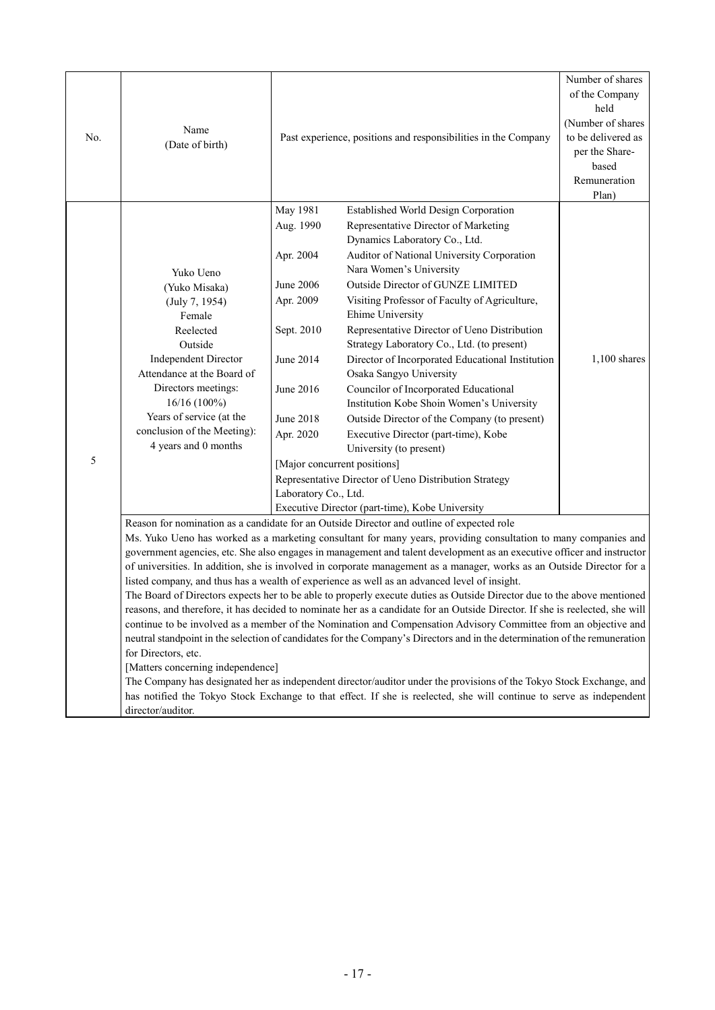| No. | Name<br>(Date of birth)                                                                                                                                                                                                                                                 |                                                                                                                                                        | Past experience, positions and responsibilities in the Company                                                                                                                                                                                                                                                                                                                                                                                                                                                                                                                                                                                                                                                                                                                                                                                                                                                                                                                                                                                                                                                                                                                                                                                                                                                               | Number of shares<br>of the Company<br>held<br>(Number of shares<br>to be delivered as<br>per the Share-<br>based<br>Remuneration<br>Plan) |
|-----|-------------------------------------------------------------------------------------------------------------------------------------------------------------------------------------------------------------------------------------------------------------------------|--------------------------------------------------------------------------------------------------------------------------------------------------------|------------------------------------------------------------------------------------------------------------------------------------------------------------------------------------------------------------------------------------------------------------------------------------------------------------------------------------------------------------------------------------------------------------------------------------------------------------------------------------------------------------------------------------------------------------------------------------------------------------------------------------------------------------------------------------------------------------------------------------------------------------------------------------------------------------------------------------------------------------------------------------------------------------------------------------------------------------------------------------------------------------------------------------------------------------------------------------------------------------------------------------------------------------------------------------------------------------------------------------------------------------------------------------------------------------------------------|-------------------------------------------------------------------------------------------------------------------------------------------|
| 5   | Yuko Ueno<br>(Yuko Misaka)<br>(July 7, 1954)<br>Female<br>Reelected<br>Outside<br><b>Independent Director</b><br>Attendance at the Board of<br>Directors meetings:<br>$16/16(100\%)$<br>Years of service (at the<br>conclusion of the Meeting):<br>4 years and 0 months | May 1981<br>Aug. 1990<br>Apr. 2004<br>June 2006<br>Apr. 2009<br>Sept. 2010<br>June 2014<br>June 2016<br>June 2018<br>Apr. 2020<br>Laboratory Co., Ltd. | Established World Design Corporation<br>Representative Director of Marketing<br>Dynamics Laboratory Co., Ltd.<br>Auditor of National University Corporation<br>Nara Women's University<br>Outside Director of GUNZE LIMITED<br>Visiting Professor of Faculty of Agriculture,<br>Ehime University<br>Representative Director of Ueno Distribution<br>Strategy Laboratory Co., Ltd. (to present)<br>Director of Incorporated Educational Institution<br>Osaka Sangyo University<br>Councilor of Incorporated Educational<br>Institution Kobe Shoin Women's University<br>Outside Director of the Company (to present)<br>Executive Director (part-time), Kobe<br>University (to present)<br>[Major concurrent positions]<br>Representative Director of Ueno Distribution Strategy<br>Executive Director (part-time), Kobe University                                                                                                                                                                                                                                                                                                                                                                                                                                                                                           | $1,100$ shares                                                                                                                            |
|     | for Directors, etc.<br>[Matters concerning independence]<br>director/auditor.                                                                                                                                                                                           |                                                                                                                                                        | Reason for nomination as a candidate for an Outside Director and outline of expected role<br>Ms. Yuko Ueno has worked as a marketing consultant for many years, providing consultation to many companies and<br>government agencies, etc. She also engages in management and talent development as an executive officer and instructor<br>of universities. In addition, she is involved in corporate management as a manager, works as an Outside Director for a<br>listed company, and thus has a wealth of experience as well as an advanced level of insight.<br>The Board of Directors expects her to be able to properly execute duties as Outside Director due to the above mentioned<br>reasons, and therefore, it has decided to nominate her as a candidate for an Outside Director. If she is reelected, she will<br>continue to be involved as a member of the Nomination and Compensation Advisory Committee from an objective and<br>neutral standpoint in the selection of candidates for the Company's Directors and in the determination of the remuneration<br>The Company has designated her as independent director/auditor under the provisions of the Tokyo Stock Exchange, and<br>has notified the Tokyo Stock Exchange to that effect. If she is reelected, she will continue to serve as independent |                                                                                                                                           |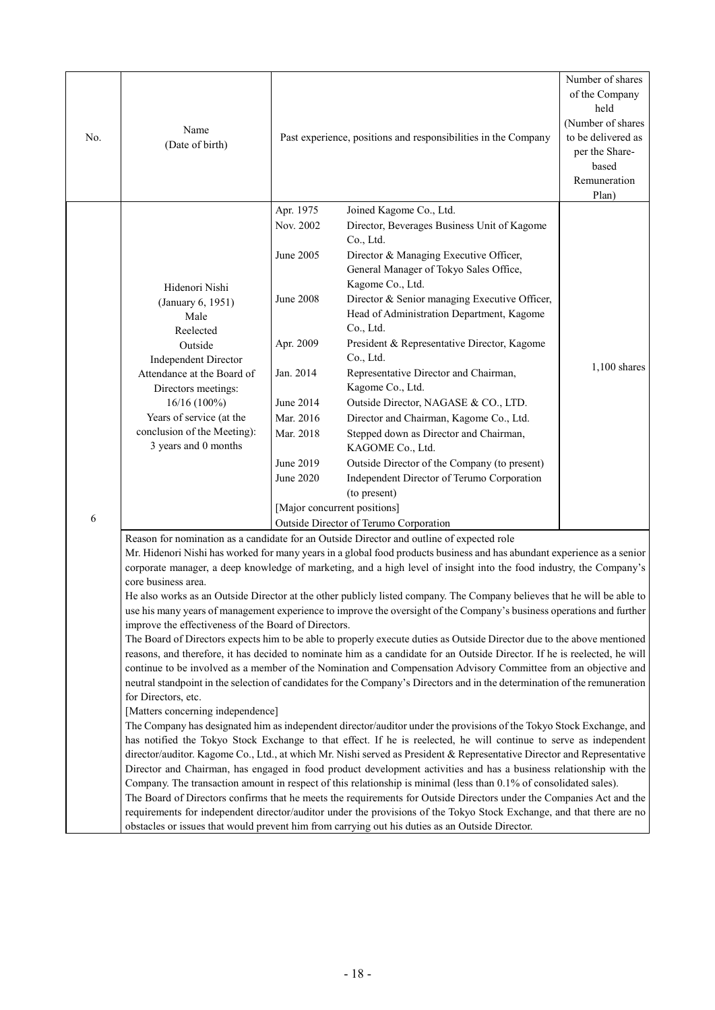| No. | Name<br>(Date of birth)                                                                                                                                                                                                                                                                                                                                                                                                                                                                                                                                                                                                                                                                                                                                                                                                                                                                                                                                                                                                                                                                                                                                                                                                                                                                                                                                                                                                                                                                                                                                                                                                                                                                                                                                                                                                                                                                                                                                                                                                                                                                                                                                                                                                                                                 | Past experience, positions and responsibilities in the Company                                                                                     |                                                                                                                                                                                                                                                                                                                                                                                                                                                                                                                                                                                                                                                                                                                                | Number of shares<br>of the Company<br>held<br>(Number of shares<br>to be delivered as<br>per the Share-<br>based<br>Remuneration<br>Plan) |
|-----|-------------------------------------------------------------------------------------------------------------------------------------------------------------------------------------------------------------------------------------------------------------------------------------------------------------------------------------------------------------------------------------------------------------------------------------------------------------------------------------------------------------------------------------------------------------------------------------------------------------------------------------------------------------------------------------------------------------------------------------------------------------------------------------------------------------------------------------------------------------------------------------------------------------------------------------------------------------------------------------------------------------------------------------------------------------------------------------------------------------------------------------------------------------------------------------------------------------------------------------------------------------------------------------------------------------------------------------------------------------------------------------------------------------------------------------------------------------------------------------------------------------------------------------------------------------------------------------------------------------------------------------------------------------------------------------------------------------------------------------------------------------------------------------------------------------------------------------------------------------------------------------------------------------------------------------------------------------------------------------------------------------------------------------------------------------------------------------------------------------------------------------------------------------------------------------------------------------------------------------------------------------------------|----------------------------------------------------------------------------------------------------------------------------------------------------|--------------------------------------------------------------------------------------------------------------------------------------------------------------------------------------------------------------------------------------------------------------------------------------------------------------------------------------------------------------------------------------------------------------------------------------------------------------------------------------------------------------------------------------------------------------------------------------------------------------------------------------------------------------------------------------------------------------------------------|-------------------------------------------------------------------------------------------------------------------------------------------|
| 6   | Hidenori Nishi<br>(January 6, 1951)<br>Male<br>Reelected<br>Outside<br><b>Independent Director</b><br>Attendance at the Board of<br>Directors meetings:<br>16/16 (100%)<br>Years of service (at the<br>conclusion of the Meeting):<br>3 years and 0 months                                                                                                                                                                                                                                                                                                                                                                                                                                                                                                                                                                                                                                                                                                                                                                                                                                                                                                                                                                                                                                                                                                                                                                                                                                                                                                                                                                                                                                                                                                                                                                                                                                                                                                                                                                                                                                                                                                                                                                                                              | Apr. 1975<br>Nov. 2002<br>June 2005<br><b>June 2008</b><br>Apr. 2009<br>Jan. 2014<br>June 2014<br>Mar. 2016<br>Mar. 2018<br>June 2019<br>June 2020 | Joined Kagome Co., Ltd.<br>Director, Beverages Business Unit of Kagome<br>Co., Ltd.<br>Director & Managing Executive Officer,<br>General Manager of Tokyo Sales Office,<br>Kagome Co., Ltd.<br>Director & Senior managing Executive Officer,<br>Head of Administration Department, Kagome<br>Co., Ltd.<br>President & Representative Director, Kagome<br>Co., Ltd.<br>Representative Director and Chairman,<br>Kagome Co., Ltd.<br>Outside Director, NAGASE & CO., LTD.<br>Director and Chairman, Kagome Co., Ltd.<br>Stepped down as Director and Chairman,<br>KAGOME Co., Ltd.<br>Outside Director of the Company (to present)<br>Independent Director of Terumo Corporation<br>(to present)<br>[Major concurrent positions] | $1,100$ shares                                                                                                                            |
|     | Outside Director of Terumo Corporation<br>Reason for nomination as a candidate for an Outside Director and outline of expected role<br>Mr. Hidenori Nishi has worked for many years in a global food products business and has abundant experience as a senior<br>corporate manager, a deep knowledge of marketing, and a high level of insight into the food industry, the Company's<br>core business area.<br>He also works as an Outside Director at the other publicly listed company. The Company believes that he will be able to<br>use his many years of management experience to improve the oversight of the Company's business operations and further<br>improve the effectiveness of the Board of Directors.<br>The Board of Directors expects him to be able to properly execute duties as Outside Director due to the above mentioned<br>reasons, and therefore, it has decided to nominate him as a candidate for an Outside Director. If he is reelected, he will<br>continue to be involved as a member of the Nomination and Compensation Advisory Committee from an objective and<br>neutral standpoint in the selection of candidates for the Company's Directors and in the determination of the remuneration<br>for Directors, etc.<br>[Matters concerning independence]<br>The Company has designated him as independent director/auditor under the provisions of the Tokyo Stock Exchange, and<br>has notified the Tokyo Stock Exchange to that effect. If he is reelected, he will continue to serve as independent<br>director/auditor. Kagome Co., Ltd., at which Mr. Nishi served as President & Representative Director and Representative<br>Director and Chairman, has engaged in food product development activities and has a business relationship with the<br>Company. The transaction amount in respect of this relationship is minimal (less than 0.1% of consolidated sales).<br>The Board of Directors confirms that he meets the requirements for Outside Directors under the Companies Act and the<br>requirements for independent director/auditor under the provisions of the Tokyo Stock Exchange, and that there are no<br>obstacles or issues that would prevent him from carrying out his duties as an Outside Director. |                                                                                                                                                    |                                                                                                                                                                                                                                                                                                                                                                                                                                                                                                                                                                                                                                                                                                                                |                                                                                                                                           |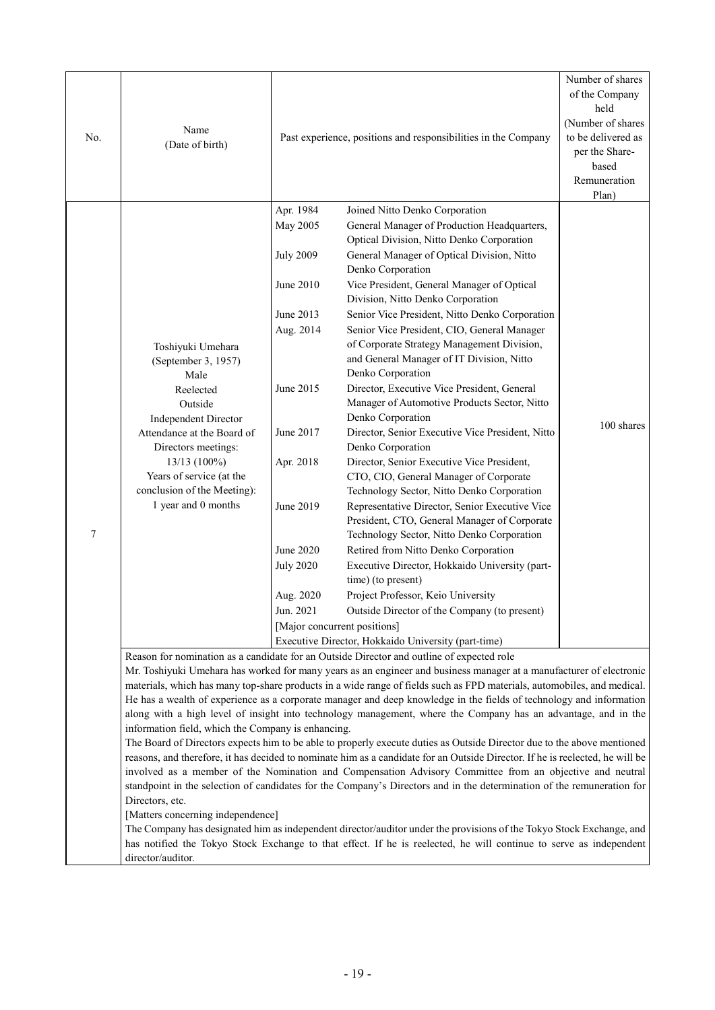| No. | Name<br>(Date of birth)                                                                                                                                                                                                                                                                                                                                                                                                                                                                                                                                                                                                                                                                                                                                                                                                                                                                                                                                                                                                                                                                                                                                                                                                                                                                                                                                                                                                                                                | Past experience, positions and responsibilities in the Company                                                                                                                                  |                                                                                                                                                                                                                                                                                                                                                                                                                                                                                                                                                                                                                                                                                                                                                                                                                                                                                                                                                                                                                                                                                                                                                                                                                                                                                   | Number of shares<br>of the Company<br>held<br>(Number of shares<br>to be delivered as<br>per the Share-<br>based<br>Remuneration<br>Plan) |  |
|-----|------------------------------------------------------------------------------------------------------------------------------------------------------------------------------------------------------------------------------------------------------------------------------------------------------------------------------------------------------------------------------------------------------------------------------------------------------------------------------------------------------------------------------------------------------------------------------------------------------------------------------------------------------------------------------------------------------------------------------------------------------------------------------------------------------------------------------------------------------------------------------------------------------------------------------------------------------------------------------------------------------------------------------------------------------------------------------------------------------------------------------------------------------------------------------------------------------------------------------------------------------------------------------------------------------------------------------------------------------------------------------------------------------------------------------------------------------------------------|-------------------------------------------------------------------------------------------------------------------------------------------------------------------------------------------------|-----------------------------------------------------------------------------------------------------------------------------------------------------------------------------------------------------------------------------------------------------------------------------------------------------------------------------------------------------------------------------------------------------------------------------------------------------------------------------------------------------------------------------------------------------------------------------------------------------------------------------------------------------------------------------------------------------------------------------------------------------------------------------------------------------------------------------------------------------------------------------------------------------------------------------------------------------------------------------------------------------------------------------------------------------------------------------------------------------------------------------------------------------------------------------------------------------------------------------------------------------------------------------------|-------------------------------------------------------------------------------------------------------------------------------------------|--|
| 7   | Toshiyuki Umehara<br>(September 3, 1957)<br>Male<br>Reelected<br>Outside<br><b>Independent Director</b><br>Attendance at the Board of<br>Directors meetings:<br>$13/13(100\%)$<br>Years of service (at the<br>conclusion of the Meeting):<br>1 year and 0 months                                                                                                                                                                                                                                                                                                                                                                                                                                                                                                                                                                                                                                                                                                                                                                                                                                                                                                                                                                                                                                                                                                                                                                                                       | Apr. 1984<br>May 2005<br><b>July 2009</b><br>June 2010<br>June 2013<br>Aug. 2014<br>June 2015<br>June 2017<br>Apr. 2018<br>June 2019<br>June 2020<br><b>July 2020</b><br>Aug. 2020<br>Jun. 2021 | Joined Nitto Denko Corporation<br>General Manager of Production Headquarters,<br>Optical Division, Nitto Denko Corporation<br>General Manager of Optical Division, Nitto<br>Denko Corporation<br>Vice President, General Manager of Optical<br>Division, Nitto Denko Corporation<br>Senior Vice President, Nitto Denko Corporation<br>Senior Vice President, CIO, General Manager<br>of Corporate Strategy Management Division,<br>and General Manager of IT Division, Nitto<br>Denko Corporation<br>Director, Executive Vice President, General<br>Manager of Automotive Products Sector, Nitto<br>Denko Corporation<br>Director, Senior Executive Vice President, Nitto<br>Denko Corporation<br>Director, Senior Executive Vice President,<br>CTO, CIO, General Manager of Corporate<br>Technology Sector, Nitto Denko Corporation<br>Representative Director, Senior Executive Vice<br>President, CTO, General Manager of Corporate<br>Technology Sector, Nitto Denko Corporation<br>Retired from Nitto Denko Corporation<br>Executive Director, Hokkaido University (part-<br>time) (to present)<br>Project Professor, Keio University<br>Outside Director of the Company (to present)<br>[Major concurrent positions]<br>Executive Director, Hokkaido University (part-time) | 100 shares                                                                                                                                |  |
|     | Reason for nomination as a candidate for an Outside Director and outline of expected role<br>Mr. Toshiyuki Umehara has worked for many years as an engineer and business manager at a manufacturer of electronic<br>materials, which has many top-share products in a wide range of fields such as FPD materials, automobiles, and medical.<br>He has a wealth of experience as a corporate manager and deep knowledge in the fields of technology and information<br>along with a high level of insight into technology management, where the Company has an advantage, and in the<br>information field, which the Company is enhancing.<br>The Board of Directors expects him to be able to properly execute duties as Outside Director due to the above mentioned<br>reasons, and therefore, it has decided to nominate him as a candidate for an Outside Director. If he is reelected, he will be<br>involved as a member of the Nomination and Compensation Advisory Committee from an objective and neutral<br>standpoint in the selection of candidates for the Company's Directors and in the determination of the remuneration for<br>Directors, etc.<br>[Matters concerning independence]<br>The Company has designated him as independent director/auditor under the provisions of the Tokyo Stock Exchange, and<br>has notified the Tokyo Stock Exchange to that effect. If he is reelected, he will continue to serve as independent<br>director/auditor. |                                                                                                                                                                                                 |                                                                                                                                                                                                                                                                                                                                                                                                                                                                                                                                                                                                                                                                                                                                                                                                                                                                                                                                                                                                                                                                                                                                                                                                                                                                                   |                                                                                                                                           |  |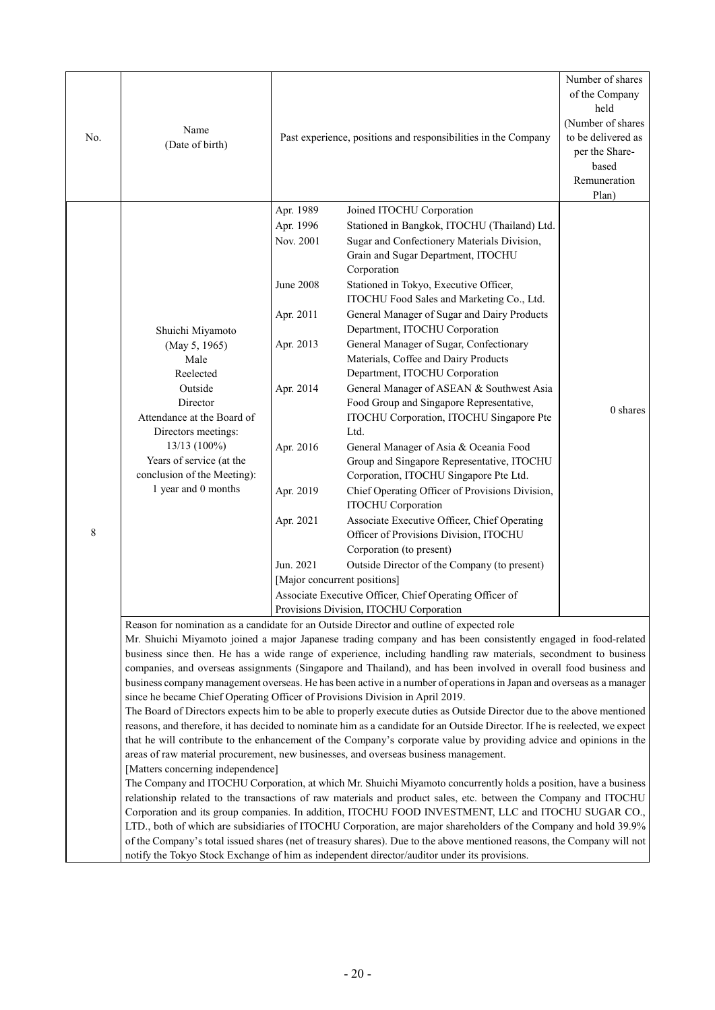| No. | Name<br>(Date of birth)                                                                                                                                                                                                              | Past experience, positions and responsibilities in the Company                                                                                                                                                                                                                                                                                                                                                                                                                                                                                                                                                                                                                                                                                                                                                                                                                                                                                                                                                                                                                                                                                                                                                                                                                                                                                                                                                                                                                                                                                                                                                                                                                                                                                                                                                                        |                                                                                                                                                                                                                                                                                                                                                                                                                                                                                                                                                                                                                                                                                                                                                                                                                                                                                                                                                                                                                                                                                                                                                       | Number of shares<br>of the Company<br>held<br>(Number of shares<br>to be delivered as<br>per the Share-<br>based<br>Remuneration<br>Plan) |
|-----|--------------------------------------------------------------------------------------------------------------------------------------------------------------------------------------------------------------------------------------|---------------------------------------------------------------------------------------------------------------------------------------------------------------------------------------------------------------------------------------------------------------------------------------------------------------------------------------------------------------------------------------------------------------------------------------------------------------------------------------------------------------------------------------------------------------------------------------------------------------------------------------------------------------------------------------------------------------------------------------------------------------------------------------------------------------------------------------------------------------------------------------------------------------------------------------------------------------------------------------------------------------------------------------------------------------------------------------------------------------------------------------------------------------------------------------------------------------------------------------------------------------------------------------------------------------------------------------------------------------------------------------------------------------------------------------------------------------------------------------------------------------------------------------------------------------------------------------------------------------------------------------------------------------------------------------------------------------------------------------------------------------------------------------------------------------------------------------|-------------------------------------------------------------------------------------------------------------------------------------------------------------------------------------------------------------------------------------------------------------------------------------------------------------------------------------------------------------------------------------------------------------------------------------------------------------------------------------------------------------------------------------------------------------------------------------------------------------------------------------------------------------------------------------------------------------------------------------------------------------------------------------------------------------------------------------------------------------------------------------------------------------------------------------------------------------------------------------------------------------------------------------------------------------------------------------------------------------------------------------------------------|-------------------------------------------------------------------------------------------------------------------------------------------|
| 8   | Shuichi Miyamoto<br>(May 5, 1965)<br>Male<br>Reelected<br>Outside<br>Director<br>Attendance at the Board of<br>Directors meetings:<br>13/13 (100%)<br>Years of service (at the<br>conclusion of the Meeting):<br>1 year and 0 months | Apr. 1989<br>Apr. 1996<br>Nov. 2001<br><b>June 2008</b><br>Apr. 2011<br>Apr. 2013<br>Apr. 2014<br>Apr. 2016<br>Apr. 2019<br>Apr. 2021<br>Jun. 2021                                                                                                                                                                                                                                                                                                                                                                                                                                                                                                                                                                                                                                                                                                                                                                                                                                                                                                                                                                                                                                                                                                                                                                                                                                                                                                                                                                                                                                                                                                                                                                                                                                                                                    | Joined ITOCHU Corporation<br>Stationed in Bangkok, ITOCHU (Thailand) Ltd.<br>Sugar and Confectionery Materials Division,<br>Grain and Sugar Department, ITOCHU<br>Corporation<br>Stationed in Tokyo, Executive Officer,<br>ITOCHU Food Sales and Marketing Co., Ltd.<br>General Manager of Sugar and Dairy Products<br>Department, ITOCHU Corporation<br>General Manager of Sugar, Confectionary<br>Materials, Coffee and Dairy Products<br>Department, ITOCHU Corporation<br>General Manager of ASEAN & Southwest Asia<br>Food Group and Singapore Representative,<br>ITOCHU Corporation, ITOCHU Singapore Pte<br>Ltd.<br>General Manager of Asia & Oceania Food<br>Group and Singapore Representative, ITOCHU<br>Corporation, ITOCHU Singapore Pte Ltd.<br>Chief Operating Officer of Provisions Division,<br><b>ITOCHU</b> Corporation<br>Associate Executive Officer, Chief Operating<br>Officer of Provisions Division, ITOCHU<br>Corporation (to present)<br>Outside Director of the Company (to present)<br>[Major concurrent positions]<br>Associate Executive Officer, Chief Operating Officer of<br>Provisions Division, ITOCHU Corporation | 0 shares                                                                                                                                  |
|     | [Matters concerning independence]                                                                                                                                                                                                    | Reason for nomination as a candidate for an Outside Director and outline of expected role<br>Mr. Shuichi Miyamoto joined a major Japanese trading company and has been consistently engaged in food-related<br>business since then. He has a wide range of experience, including handling raw materials, secondment to business<br>companies, and overseas assignments (Singapore and Thailand), and has been involved in overall food business and<br>business company management overseas. He has been active in a number of operations in Japan and overseas as a manager<br>since he became Chief Operating Officer of Provisions Division in April 2019.<br>The Board of Directors expects him to be able to properly execute duties as Outside Director due to the above mentioned<br>reasons, and therefore, it has decided to nominate him as a candidate for an Outside Director. If he is reelected, we expect<br>that he will contribute to the enhancement of the Company's corporate value by providing advice and opinions in the<br>areas of raw material procurement, new businesses, and overseas business management.<br>The Company and ITOCHU Corporation, at which Mr. Shuichi Miyamoto concurrently holds a position, have a business<br>relationship related to the transactions of raw materials and product sales, etc. between the Company and ITOCHU<br>Corporation and its group companies. In addition, ITOCHU FOOD INVESTMENT, LLC and ITOCHU SUGAR CO.,<br>LTD., both of which are subsidiaries of ITOCHU Corporation, are major shareholders of the Company and hold 39.9%<br>of the Company's total issued shares (net of treasury shares). Due to the above mentioned reasons, the Company will not<br>notify the Tokyo Stock Exchange of him as independent director/auditor under its provisions. |                                                                                                                                                                                                                                                                                                                                                                                                                                                                                                                                                                                                                                                                                                                                                                                                                                                                                                                                                                                                                                                                                                                                                       |                                                                                                                                           |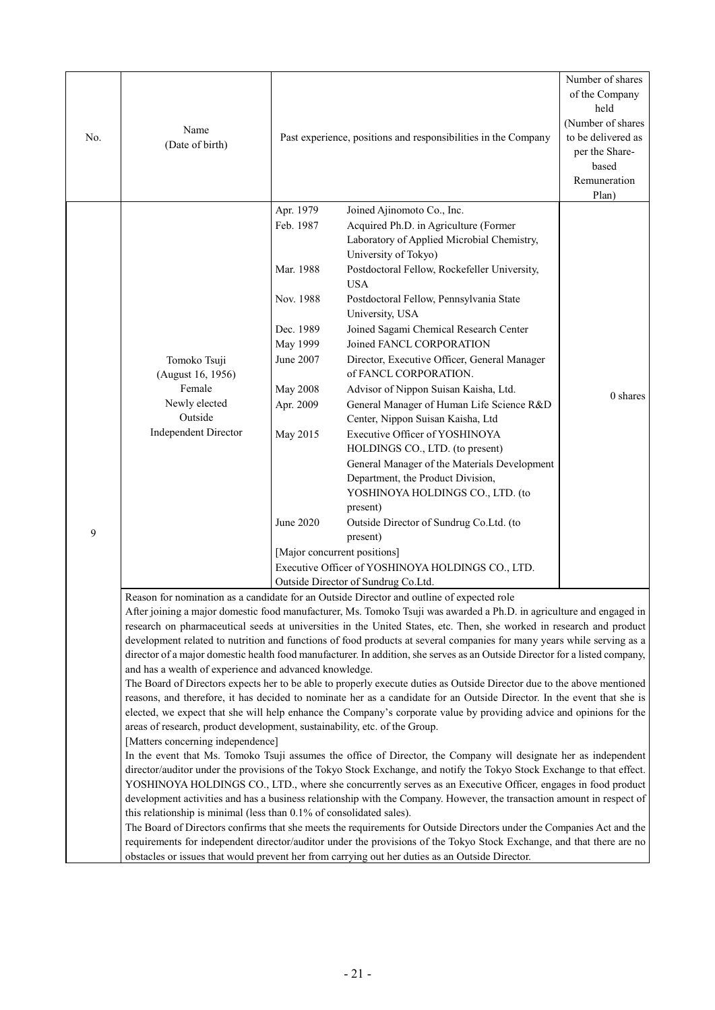| No. | Name<br>(Date of birth)                                                                                                                                                                                                                                                                                                                                                                                                                                                                                                                                                                                                                                                                                                                                                                                                                                                                                                                                                                                                                                                                                                                                                                                                                                                                                                                                                                                                                                                                                                                                                                                                                                                                                                                                                                                                                                                                                                                                                               |                                                                                                                                                 | Past experience, positions and responsibilities in the Company                                                                                                                                                                                                                                                                                                                                                                                                                                                                                                                                                                                                                                                                                                                                                                                                                                        | Number of shares<br>of the Company<br>held<br>(Number of shares<br>to be delivered as<br>per the Share-<br>based<br>Remuneration<br>Plan) |
|-----|---------------------------------------------------------------------------------------------------------------------------------------------------------------------------------------------------------------------------------------------------------------------------------------------------------------------------------------------------------------------------------------------------------------------------------------------------------------------------------------------------------------------------------------------------------------------------------------------------------------------------------------------------------------------------------------------------------------------------------------------------------------------------------------------------------------------------------------------------------------------------------------------------------------------------------------------------------------------------------------------------------------------------------------------------------------------------------------------------------------------------------------------------------------------------------------------------------------------------------------------------------------------------------------------------------------------------------------------------------------------------------------------------------------------------------------------------------------------------------------------------------------------------------------------------------------------------------------------------------------------------------------------------------------------------------------------------------------------------------------------------------------------------------------------------------------------------------------------------------------------------------------------------------------------------------------------------------------------------------------|-------------------------------------------------------------------------------------------------------------------------------------------------|-------------------------------------------------------------------------------------------------------------------------------------------------------------------------------------------------------------------------------------------------------------------------------------------------------------------------------------------------------------------------------------------------------------------------------------------------------------------------------------------------------------------------------------------------------------------------------------------------------------------------------------------------------------------------------------------------------------------------------------------------------------------------------------------------------------------------------------------------------------------------------------------------------|-------------------------------------------------------------------------------------------------------------------------------------------|
| 9   | Tomoko Tsuji<br>(August 16, 1956)<br>Female<br>Newly elected<br>Outside<br><b>Independent Director</b>                                                                                                                                                                                                                                                                                                                                                                                                                                                                                                                                                                                                                                                                                                                                                                                                                                                                                                                                                                                                                                                                                                                                                                                                                                                                                                                                                                                                                                                                                                                                                                                                                                                                                                                                                                                                                                                                                | Apr. 1979<br>Feb. 1987<br>Mar. 1988<br>Nov. 1988<br>Dec. 1989<br>May 1999<br>June 2007<br><b>May 2008</b><br>Apr. 2009<br>May 2015<br>June 2020 | Joined Ajinomoto Co., Inc.<br>Acquired Ph.D. in Agriculture (Former<br>Laboratory of Applied Microbial Chemistry,<br>University of Tokyo)<br>Postdoctoral Fellow, Rockefeller University,<br><b>USA</b><br>Postdoctoral Fellow, Pennsylvania State<br>University, USA<br>Joined Sagami Chemical Research Center<br>Joined FANCL CORPORATION<br>Director, Executive Officer, General Manager<br>of FANCL CORPORATION.<br>Advisor of Nippon Suisan Kaisha, Ltd.<br>General Manager of Human Life Science R&D<br>Center, Nippon Suisan Kaisha, Ltd<br>Executive Officer of YOSHINOYA<br>HOLDINGS CO., LTD. (to present)<br>General Manager of the Materials Development<br>Department, the Product Division,<br>YOSHINOYA HOLDINGS CO., LTD. (to<br>present)<br>Outside Director of Sundrug Co.Ltd. (to<br>present)<br>[Major concurrent positions]<br>Executive Officer of YOSHINOYA HOLDINGS CO., LTD. | $0$ shares                                                                                                                                |
|     |                                                                                                                                                                                                                                                                                                                                                                                                                                                                                                                                                                                                                                                                                                                                                                                                                                                                                                                                                                                                                                                                                                                                                                                                                                                                                                                                                                                                                                                                                                                                                                                                                                                                                                                                                                                                                                                                                                                                                                                       |                                                                                                                                                 | Outside Director of Sundrug Co.Ltd.                                                                                                                                                                                                                                                                                                                                                                                                                                                                                                                                                                                                                                                                                                                                                                                                                                                                   |                                                                                                                                           |
|     |                                                                                                                                                                                                                                                                                                                                                                                                                                                                                                                                                                                                                                                                                                                                                                                                                                                                                                                                                                                                                                                                                                                                                                                                                                                                                                                                                                                                                                                                                                                                                                                                                                                                                                                                                                                                                                                                                                                                                                                       |                                                                                                                                                 | Reason for nomination as a candidate for an Outside Director and outline of expected role                                                                                                                                                                                                                                                                                                                                                                                                                                                                                                                                                                                                                                                                                                                                                                                                             |                                                                                                                                           |
|     | After joining a major domestic food manufacturer, Ms. Tomoko Tsuji was awarded a Ph.D. in agriculture and engaged in<br>research on pharmaceutical seeds at universities in the United States, etc. Then, she worked in research and product<br>development related to nutrition and functions of food products at several companies for many years while serving as a<br>director of a major domestic health food manufacturer. In addition, she serves as an Outside Director for a listed company,<br>and has a wealth of experience and advanced knowledge.<br>The Board of Directors expects her to be able to properly execute duties as Outside Director due to the above mentioned<br>reasons, and therefore, it has decided to nominate her as a candidate for an Outside Director. In the event that she is<br>elected, we expect that she will help enhance the Company's corporate value by providing advice and opinions for the<br>areas of research, product development, sustainability, etc. of the Group.<br>[Matters concerning independence]<br>In the event that Ms. Tomoko Tsuji assumes the office of Director, the Company will designate her as independent<br>director/auditor under the provisions of the Tokyo Stock Exchange, and notify the Tokyo Stock Exchange to that effect.<br>YOSHINOYA HOLDINGS CO., LTD., where she concurrently serves as an Executive Officer, engages in food product<br>development activities and has a business relationship with the Company. However, the transaction amount in respect of<br>this relationship is minimal (less than 0.1% of consolidated sales).<br>The Board of Directors confirms that she meets the requirements for Outside Directors under the Companies Act and the<br>requirements for independent director/auditor under the provisions of the Tokyo Stock Exchange, and that there are no<br>obstacles or issues that would prevent her from carrying out her duties as an Outside Director. |                                                                                                                                                 |                                                                                                                                                                                                                                                                                                                                                                                                                                                                                                                                                                                                                                                                                                                                                                                                                                                                                                       |                                                                                                                                           |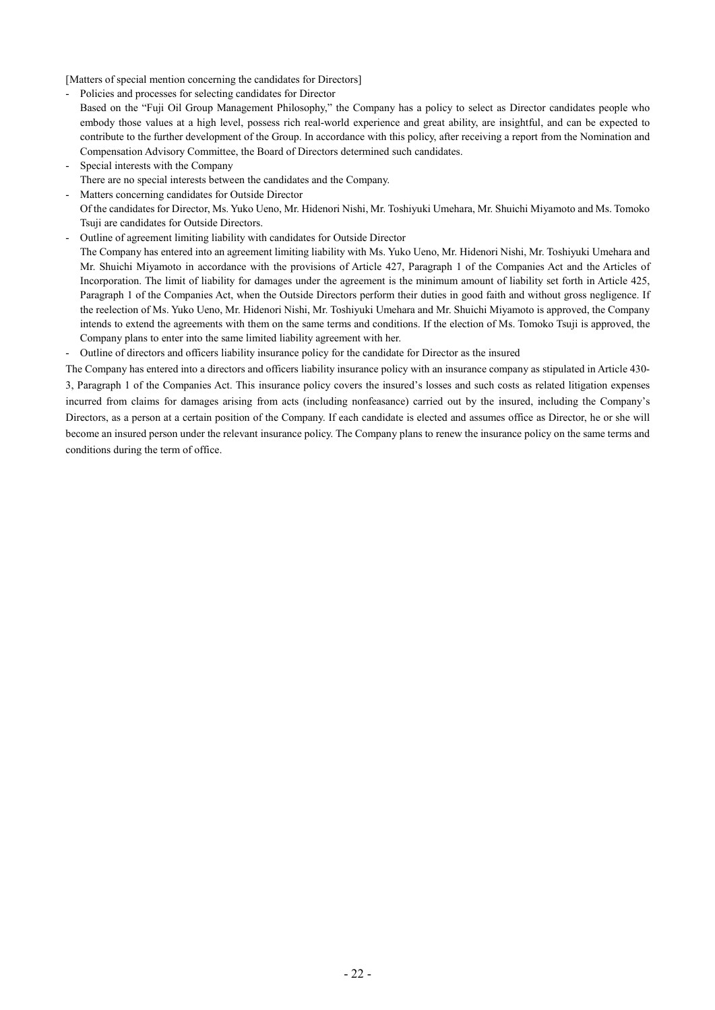[Matters of special mention concerning the candidates for Directors]

- Policies and processes for selecting candidates for Director
- Based on the "Fuji Oil Group Management Philosophy," the Company has a policy to select as Director candidates people who embody those values at a high level, possess rich real-world experience and great ability, are insightful, and can be expected to contribute to the further development of the Group. In accordance with this policy, after receiving a report from the Nomination and Compensation Advisory Committee, the Board of Directors determined such candidates.
- Special interests with the Company There are no special interests between the candidates and the Company.
- Matters concerning candidates for Outside Director Of the candidates for Director, Ms. Yuko Ueno, Mr. Hidenori Nishi, Mr. Toshiyuki Umehara, Mr. Shuichi Miyamoto and Ms. Tomoko Tsuji are candidates for Outside Directors.
- Outline of agreement limiting liability with candidates for Outside Director
- The Company has entered into an agreement limiting liability with Ms. Yuko Ueno, Mr. Hidenori Nishi, Mr. Toshiyuki Umehara and Mr. Shuichi Miyamoto in accordance with the provisions of Article 427, Paragraph 1 of the Companies Act and the Articles of Incorporation. The limit of liability for damages under the agreement is the minimum amount of liability set forth in Article 425, Paragraph 1 of the Companies Act, when the Outside Directors perform their duties in good faith and without gross negligence. If the reelection of Ms. Yuko Ueno, Mr. Hidenori Nishi, Mr. Toshiyuki Umehara and Mr. Shuichi Miyamoto is approved, the Company intends to extend the agreements with them on the same terms and conditions. If the election of Ms. Tomoko Tsuji is approved, the Company plans to enter into the same limited liability agreement with her.
- Outline of directors and officers liability insurance policy for the candidate for Director as the insured

The Company has entered into a directors and officers liability insurance policy with an insurance company as stipulated in Article 430- 3, Paragraph 1 of the Companies Act. This insurance policy covers the insured's losses and such costs as related litigation expenses incurred from claims for damages arising from acts (including nonfeasance) carried out by the insured, including the Company's Directors, as a person at a certain position of the Company. If each candidate is elected and assumes office as Director, he or she will become an insured person under the relevant insurance policy. The Company plans to renew the insurance policy on the same terms and conditions during the term of office.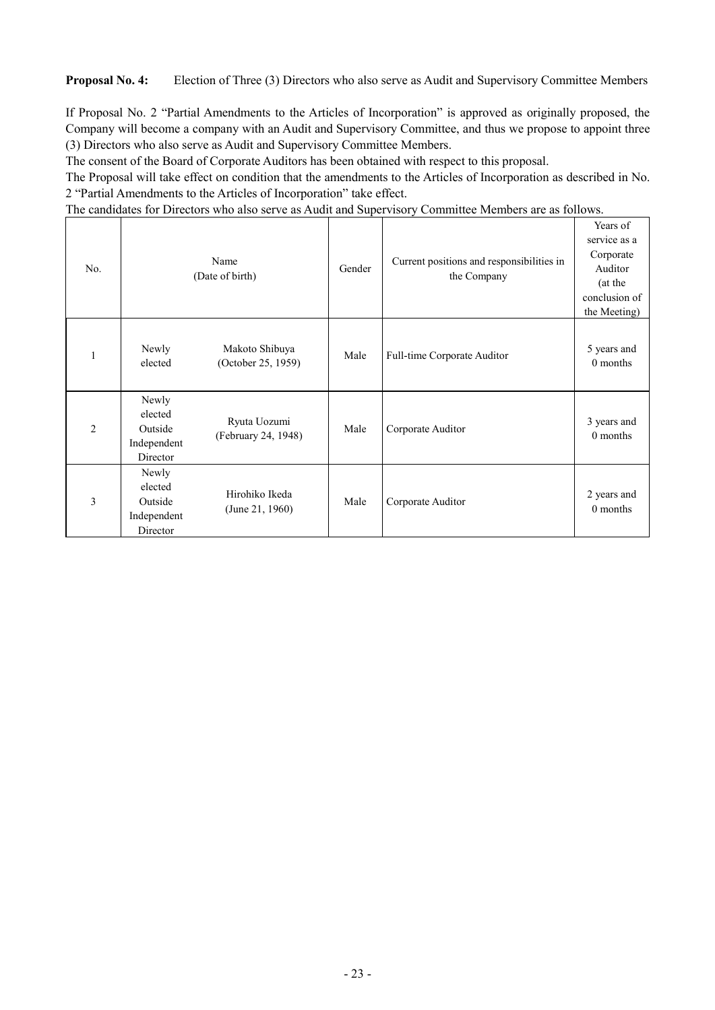**Proposal No. 4:** Election of Three (3) Directors who also serve as Audit and Supervisory Committee Members

If Proposal No. 2 "Partial Amendments to the Articles of Incorporation" is approved as originally proposed, the Company will become a company with an Audit and Supervisory Committee, and thus we propose to appoint three (3) Directors who also serve as Audit and Supervisory Committee Members.

The consent of the Board of Corporate Auditors has been obtained with respect to this proposal.

The Proposal will take effect on condition that the amendments to the Articles of Incorporation as described in No. 2 "Partial Amendments to the Articles of Incorporation" take effect.

The candidates for Directors who also serve as Audit and Supervisory Committee Members are as follows.

| No.            | Name<br>(Date of birth)                                |                                      | Gender | Current positions and responsibilities in<br>the Company | Years of<br>service as a<br>Corporate<br>Auditor<br>(at the<br>conclusion of<br>the Meeting) |
|----------------|--------------------------------------------------------|--------------------------------------|--------|----------------------------------------------------------|----------------------------------------------------------------------------------------------|
| 1              | Newly<br>elected                                       | Makoto Shibuya<br>(October 25, 1959) | Male   | Full-time Corporate Auditor                              | 5 years and<br>0 months                                                                      |
| $\overline{2}$ | Newly<br>elected<br>Outside<br>Independent<br>Director | Ryuta Uozumi<br>(February 24, 1948)  | Male   | Corporate Auditor                                        | 3 years and<br>0 months                                                                      |
| 3              | Newly<br>elected<br>Outside<br>Independent<br>Director | Hirohiko Ikeda<br>(June 21, 1960)    | Male   | Corporate Auditor                                        | 2 years and<br>0 months                                                                      |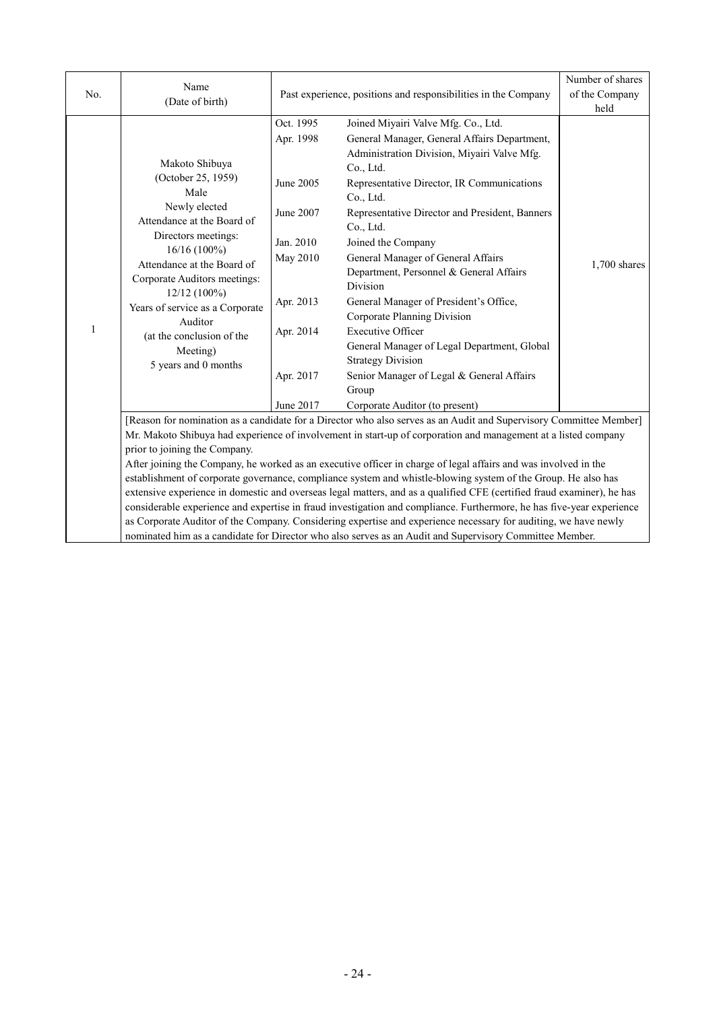| No.          | Name<br>(Date of birth)                                                                                                                                                                                                                                                                                                           |                                                                                                                                                                                                                                                                                                                                                                                                                                                                                                                                                                                                        | Past experience, positions and responsibilities in the Company                                                                                                                                                                                                                                                                                                                                                                                                                                                                                                                                                                            | Number of shares<br>of the Company<br>held |
|--------------|-----------------------------------------------------------------------------------------------------------------------------------------------------------------------------------------------------------------------------------------------------------------------------------------------------------------------------------|--------------------------------------------------------------------------------------------------------------------------------------------------------------------------------------------------------------------------------------------------------------------------------------------------------------------------------------------------------------------------------------------------------------------------------------------------------------------------------------------------------------------------------------------------------------------------------------------------------|-------------------------------------------------------------------------------------------------------------------------------------------------------------------------------------------------------------------------------------------------------------------------------------------------------------------------------------------------------------------------------------------------------------------------------------------------------------------------------------------------------------------------------------------------------------------------------------------------------------------------------------------|--------------------------------------------|
| $\mathbf{1}$ | Makoto Shibuya<br>(October 25, 1959)<br>Male<br>Newly elected<br>Attendance at the Board of<br>Directors meetings:<br>$16/16(100\%)$<br>Attendance at the Board of<br>Corporate Auditors meetings:<br>12/12 (100%)<br>Years of service as a Corporate<br>Auditor<br>(at the conclusion of the<br>Meeting)<br>5 years and 0 months | Oct. 1995<br>Apr. 1998<br>June 2005<br>June 2007<br>Jan. 2010<br>May 2010<br>Apr. 2013<br>Apr. 2014<br>Apr. 2017                                                                                                                                                                                                                                                                                                                                                                                                                                                                                       | Joined Miyairi Valve Mfg. Co., Ltd.<br>General Manager, General Affairs Department,<br>Administration Division, Miyairi Valve Mfg.<br>Co., Ltd.<br>Representative Director, IR Communications<br>Co., Ltd.<br>Representative Director and President, Banners<br>Co., Ltd.<br>Joined the Company<br>General Manager of General Affairs<br>Department, Personnel & General Affairs<br><b>Division</b><br>General Manager of President's Office,<br>Corporate Planning Division<br><b>Executive Officer</b><br>General Manager of Legal Department, Global<br><b>Strategy Division</b><br>Senior Manager of Legal & General Affairs<br>Group | $1,700$ shares                             |
|              |                                                                                                                                                                                                                                                                                                                                   | June 2017                                                                                                                                                                                                                                                                                                                                                                                                                                                                                                                                                                                              | Corporate Auditor (to present)<br>[Reason for nomination as a candidate for a Director who also serves as an Audit and Supervisory Committee Member]<br>Mr. Makoto Shibuya had experience of involvement in start-up of corporation and management at a listed company                                                                                                                                                                                                                                                                                                                                                                    |                                            |
|              | prior to joining the Company.<br>nominated him as a candidate for Director who also serves as an Audit and Supervisory Committee Member.                                                                                                                                                                                          | After joining the Company, he worked as an executive officer in charge of legal affairs and was involved in the<br>establishment of corporate governance, compliance system and whistle-blowing system of the Group. He also has<br>extensive experience in domestic and overseas legal matters, and as a qualified CFE (certified fraud examiner), he has<br>considerable experience and expertise in fraud investigation and compliance. Furthermore, he has five-year experience<br>as Corporate Auditor of the Company. Considering expertise and experience necessary for auditing, we have newly |                                                                                                                                                                                                                                                                                                                                                                                                                                                                                                                                                                                                                                           |                                            |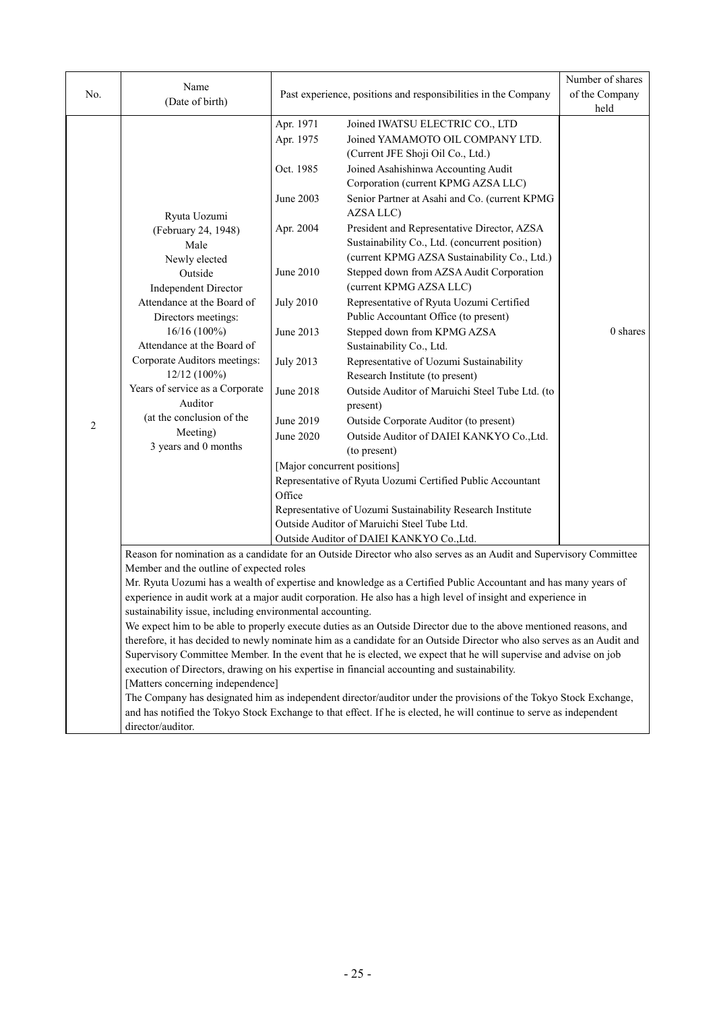| No.            | Name<br>(Date of birth)                                   |                                                                                                                        | Past experience, positions and responsibilities in the Company                                                       | Number of shares<br>of the Company<br>held |  |
|----------------|-----------------------------------------------------------|------------------------------------------------------------------------------------------------------------------------|----------------------------------------------------------------------------------------------------------------------|--------------------------------------------|--|
|                |                                                           | Apr. 1971                                                                                                              | Joined IWATSU ELECTRIC CO., LTD                                                                                      |                                            |  |
|                |                                                           | Apr. 1975                                                                                                              | Joined YAMAMOTO OIL COMPANY LTD.                                                                                     |                                            |  |
|                |                                                           |                                                                                                                        | (Current JFE Shoji Oil Co., Ltd.)                                                                                    |                                            |  |
|                |                                                           | Oct. 1985                                                                                                              | Joined Asahishinwa Accounting Audit                                                                                  |                                            |  |
|                |                                                           |                                                                                                                        | Corporation (current KPMG AZSA LLC)                                                                                  |                                            |  |
|                |                                                           | June 2003                                                                                                              | Senior Partner at Asahi and Co. (current KPMG                                                                        |                                            |  |
|                | Ryuta Uozumi                                              |                                                                                                                        | AZSA LLC)                                                                                                            |                                            |  |
|                | (February 24, 1948)                                       | Apr. 2004                                                                                                              | President and Representative Director, AZSA                                                                          |                                            |  |
|                | Male                                                      |                                                                                                                        | Sustainability Co., Ltd. (concurrent position)                                                                       |                                            |  |
|                | Newly elected                                             |                                                                                                                        | (current KPMG AZSA Sustainability Co., Ltd.)                                                                         |                                            |  |
|                | Outside                                                   | June 2010                                                                                                              | Stepped down from AZSA Audit Corporation                                                                             |                                            |  |
|                | <b>Independent Director</b>                               |                                                                                                                        | (current KPMG AZSA LLC)                                                                                              |                                            |  |
|                | Attendance at the Board of                                | <b>July 2010</b>                                                                                                       | Representative of Ryuta Uozumi Certified                                                                             |                                            |  |
|                | Directors meetings:                                       |                                                                                                                        | Public Accountant Office (to present)                                                                                | 0 shares                                   |  |
|                | 16/16 (100%)<br>Attendance at the Board of                | June 2013                                                                                                              | Stepped down from KPMG AZSA<br>Sustainability Co., Ltd.                                                              |                                            |  |
|                | Corporate Auditors meetings:                              | <b>July 2013</b>                                                                                                       | Representative of Uozumi Sustainability                                                                              |                                            |  |
|                | 12/12 (100%)                                              |                                                                                                                        | Research Institute (to present)                                                                                      |                                            |  |
|                | Years of service as a Corporate                           | June 2018                                                                                                              | Outside Auditor of Maruichi Steel Tube Ltd. (to                                                                      |                                            |  |
|                | Auditor                                                   |                                                                                                                        | present)                                                                                                             |                                            |  |
| $\overline{c}$ | (at the conclusion of the                                 | June 2019                                                                                                              | Outside Corporate Auditor (to present)                                                                               |                                            |  |
|                | Meeting)                                                  | June 2020                                                                                                              | Outside Auditor of DAIEI KANKYO Co., Ltd.                                                                            |                                            |  |
|                | 3 years and 0 months                                      |                                                                                                                        | (to present)                                                                                                         |                                            |  |
|                |                                                           | [Major concurrent positions]                                                                                           |                                                                                                                      |                                            |  |
|                |                                                           |                                                                                                                        | Representative of Ryuta Uozumi Certified Public Accountant                                                           |                                            |  |
|                |                                                           | Office                                                                                                                 |                                                                                                                      |                                            |  |
|                |                                                           |                                                                                                                        | Representative of Uozumi Sustainability Research Institute                                                           |                                            |  |
|                |                                                           |                                                                                                                        | Outside Auditor of Maruichi Steel Tube Ltd.                                                                          |                                            |  |
|                |                                                           |                                                                                                                        | Outside Auditor of DAIEI KANKYO Co., Ltd.                                                                            |                                            |  |
|                | Member and the outline of expected roles                  |                                                                                                                        | Reason for nomination as a candidate for an Outside Director who also serves as an Audit and Supervisory Committee   |                                            |  |
|                |                                                           |                                                                                                                        | Mr. Ryuta Uozumi has a wealth of expertise and knowledge as a Certified Public Accountant and has many years of      |                                            |  |
|                |                                                           |                                                                                                                        | experience in audit work at a major audit corporation. He also has a high level of insight and experience in         |                                            |  |
|                | sustainability issue, including environmental accounting. |                                                                                                                        |                                                                                                                      |                                            |  |
|                |                                                           |                                                                                                                        | We expect him to be able to properly execute duties as an Outside Director due to the above mentioned reasons, and   |                                            |  |
|                |                                                           | therefore, it has decided to newly nominate him as a candidate for an Outside Director who also serves as an Audit and |                                                                                                                      |                                            |  |
|                |                                                           |                                                                                                                        | Supervisory Committee Member. In the event that he is elected, we expect that he will supervise and advise on job    |                                            |  |
|                |                                                           |                                                                                                                        | execution of Directors, drawing on his expertise in financial accounting and sustainability.                         |                                            |  |
|                | [Matters concerning independence]                         |                                                                                                                        |                                                                                                                      |                                            |  |
|                |                                                           |                                                                                                                        | The Company has designated him as independent director/auditor under the provisions of the Tokyo Stock Exchange,     |                                            |  |
|                |                                                           |                                                                                                                        | and has notified the Tokyo Stock Exchange to that effect. If he is elected, he will continue to serve as independent |                                            |  |
|                | director/auditor.                                         |                                                                                                                        |                                                                                                                      |                                            |  |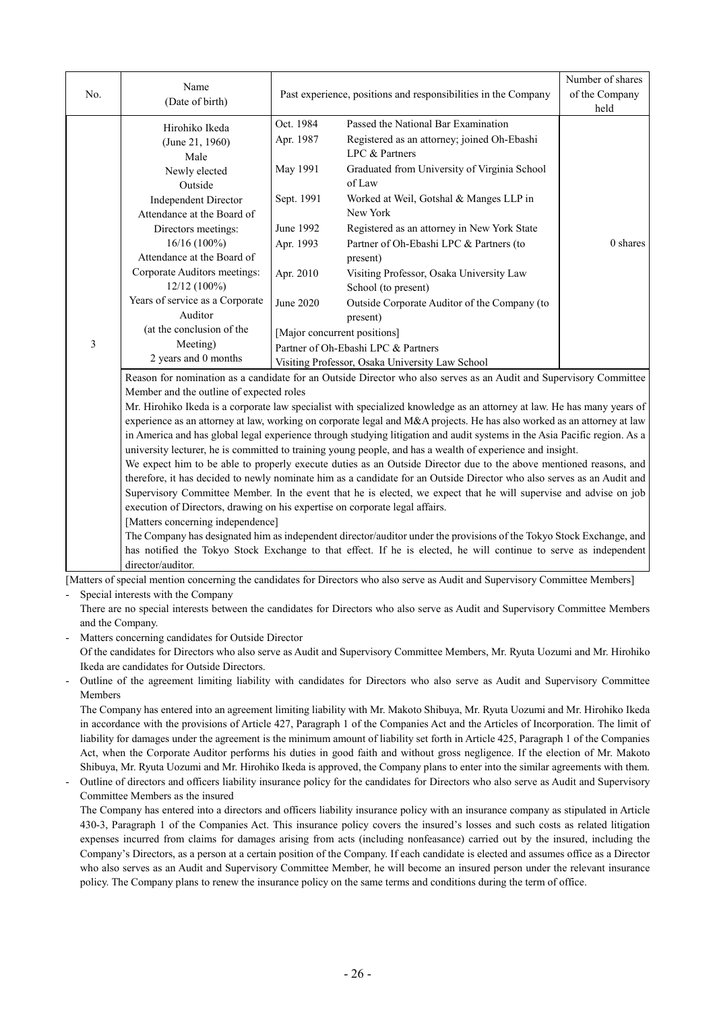| No. | Name<br>(Date of birth)                                                                                                                                                                                                                                                                                                                                                     |                                                                                                      | Past experience, positions and responsibilities in the Company                                                                                                                                                                                                                                                                                                                                                                                                                                                                    |                  |
|-----|-----------------------------------------------------------------------------------------------------------------------------------------------------------------------------------------------------------------------------------------------------------------------------------------------------------------------------------------------------------------------------|------------------------------------------------------------------------------------------------------|-----------------------------------------------------------------------------------------------------------------------------------------------------------------------------------------------------------------------------------------------------------------------------------------------------------------------------------------------------------------------------------------------------------------------------------------------------------------------------------------------------------------------------------|------------------|
| 3   | Hirohiko Ikeda<br>(June 21, 1960)<br>Male<br>Newly elected<br>Outside<br><b>Independent Director</b><br>Attendance at the Board of<br>Directors meetings:<br>$16/16(100\%)$<br>Attendance at the Board of<br>Corporate Auditors meetings:<br>$12/12(100\%)$<br>Years of service as a Corporate<br>Auditor<br>(at the conclusion of the<br>Meeting)<br>2 years and 0 months  | Oct. 1984<br>Apr. 1987<br>May 1991<br>Sept. 1991<br>June 1992<br>Apr. 1993<br>Apr. 2010<br>June 2020 | Passed the National Bar Examination<br>Registered as an attorney; joined Oh-Ebashi<br>LPC & Partners<br>Graduated from University of Virginia School<br>of Law<br>Worked at Weil, Gotshal & Manges LLP in<br>New York<br>Registered as an attorney in New York State<br>Partner of Oh-Ebashi LPC & Partners (to<br>present)<br>Visiting Professor, Osaka University Law<br>School (to present)<br>Outside Corporate Auditor of the Company (to<br>present)<br>[Major concurrent positions]<br>Partner of Oh-Ebashi LPC & Partners | held<br>0 shares |
|     |                                                                                                                                                                                                                                                                                                                                                                             |                                                                                                      | Visiting Professor, Osaka University Law School<br>Reason for nomination as a candidate for an Outside Director who also serves as an Audit and Supervisory Committee                                                                                                                                                                                                                                                                                                                                                             |                  |
|     | Member and the outline of expected roles                                                                                                                                                                                                                                                                                                                                    |                                                                                                      |                                                                                                                                                                                                                                                                                                                                                                                                                                                                                                                                   |                  |
|     | Mr. Hirohiko Ikeda is a corporate law specialist with specialized knowledge as an attorney at law. He has many years of<br>$\mu$ at $\mu$ 1, and $\mu$ 1, and $\mu$ 1, and $\mu$ 1, and $\mu$ 1, and $\mu$ 1, and $\mu$ 1, and $\mu$ 1, and $\mu$ 1, and $\mu$ 1, and $\mu$ 1, and $\mu$ 1, and $\mu$ 1, and $\mu$ 1, and $\mu$ 1, and $\mu$ 1, and $\mu$ 1, and $\mu$ 1, a |                                                                                                      |                                                                                                                                                                                                                                                                                                                                                                                                                                                                                                                                   |                  |

experience as an attorney at law, working on corporate legal and M&A projects. He has also worked as an attorney at law in America and has global legal experience through studying litigation and audit systems in the Asia Pacific region. As a university lecturer, he is committed to training young people, and has a wealth of experience and insight.

We expect him to be able to properly execute duties as an Outside Director due to the above mentioned reasons, and therefore, it has decided to newly nominate him as a candidate for an Outside Director who also serves as an Audit and Supervisory Committee Member. In the event that he is elected, we expect that he will supervise and advise on job execution of Directors, drawing on his expertise on corporate legal affairs.

[Matters concerning independence]

The Company has designated him as independent director/auditor under the provisions of the Tokyo Stock Exchange, and has notified the Tokyo Stock Exchange to that effect. If he is elected, he will continue to serve as independent director/auditor.

[Matters of special mention concerning the candidates for Directors who also serve as Audit and Supervisory Committee Members]

Special interests with the Company

There are no special interests between the candidates for Directors who also serve as Audit and Supervisory Committee Members and the Company.

- Matters concerning candidates for Outside Director Of the candidates for Directors who also serve as Audit and Supervisory Committee Members, Mr. Ryuta Uozumi and Mr. Hirohiko Ikeda are candidates for Outside Directors.
- Outline of the agreement limiting liability with candidates for Directors who also serve as Audit and Supervisory Committee Members

The Company has entered into an agreement limiting liability with Mr. Makoto Shibuya, Mr. Ryuta Uozumi and Mr. Hirohiko Ikeda in accordance with the provisions of Article 427, Paragraph 1 of the Companies Act and the Articles of Incorporation. The limit of liability for damages under the agreement is the minimum amount of liability set forth in Article 425, Paragraph 1 of the Companies Act, when the Corporate Auditor performs his duties in good faith and without gross negligence. If the election of Mr. Makoto Shibuya, Mr. Ryuta Uozumi and Mr. Hirohiko Ikeda is approved, the Company plans to enter into the similar agreements with them.

- Outline of directors and officers liability insurance policy for the candidates for Directors who also serve as Audit and Supervisory Committee Members as the insured

The Company has entered into a directors and officers liability insurance policy with an insurance company as stipulated in Article 430-3, Paragraph 1 of the Companies Act. This insurance policy covers the insured's losses and such costs as related litigation expenses incurred from claims for damages arising from acts (including nonfeasance) carried out by the insured, including the Company's Directors, as a person at a certain position of the Company. If each candidate is elected and assumes office as a Director who also serves as an Audit and Supervisory Committee Member, he will become an insured person under the relevant insurance policy. The Company plans to renew the insurance policy on the same terms and conditions during the term of office.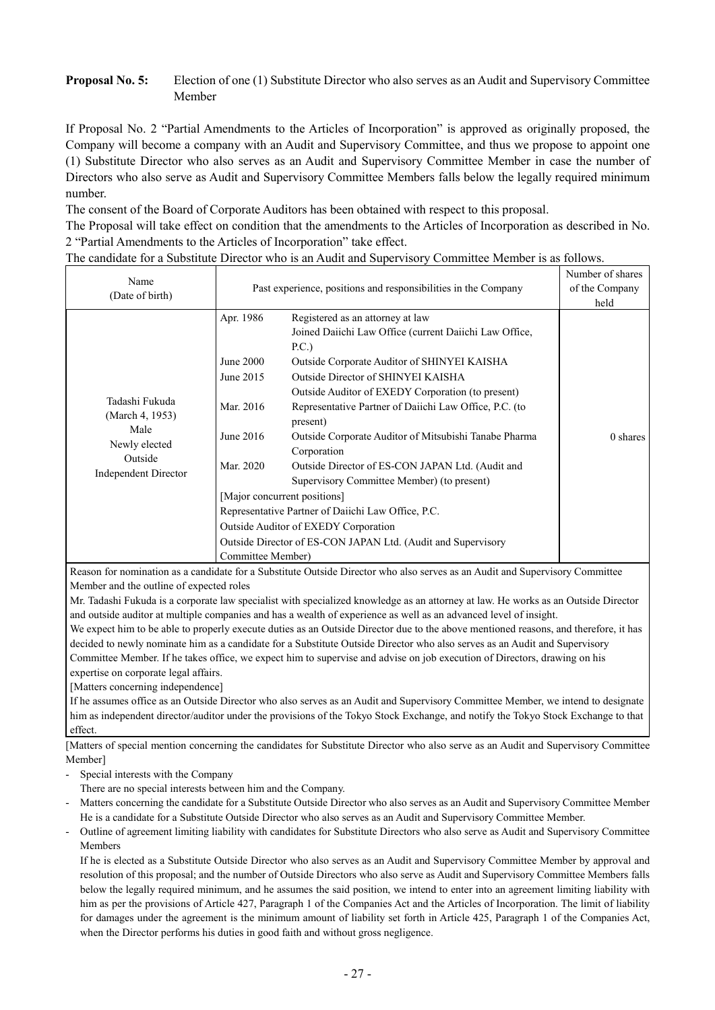# **Proposal No. 5:** Election of one (1) Substitute Director who also serves as an Audit and Supervisory Committee Member

If Proposal No. 2 "Partial Amendments to the Articles of Incorporation" is approved as originally proposed, the Company will become a company with an Audit and Supervisory Committee, and thus we propose to appoint one (1) Substitute Director who also serves as an Audit and Supervisory Committee Member in case the number of Directors who also serve as Audit and Supervisory Committee Members falls below the legally required minimum number.

The consent of the Board of Corporate Auditors has been obtained with respect to this proposal.

The Proposal will take effect on condition that the amendments to the Articles of Incorporation as described in No. 2 "Partial Amendments to the Articles of Incorporation" take effect.

|  | The candidate for a Substitute Director who is an Audit and Supervisory Committee Member is as follows. |  |  |  |
|--|---------------------------------------------------------------------------------------------------------|--|--|--|
|  |                                                                                                         |  |  |  |

| Name                                                                                          |                                                                                                 | Number of shares                                                                                                                                                                                                                                                                                                                                                                                                                                                                                                                                                                                                                                                                           |                  |
|-----------------------------------------------------------------------------------------------|-------------------------------------------------------------------------------------------------|--------------------------------------------------------------------------------------------------------------------------------------------------------------------------------------------------------------------------------------------------------------------------------------------------------------------------------------------------------------------------------------------------------------------------------------------------------------------------------------------------------------------------------------------------------------------------------------------------------------------------------------------------------------------------------------------|------------------|
| (Date of birth)                                                                               |                                                                                                 | Past experience, positions and responsibilities in the Company                                                                                                                                                                                                                                                                                                                                                                                                                                                                                                                                                                                                                             | of the Company   |
| Tadashi Fukuda<br>(March 4, 1953)<br>Male<br>Newly elected<br>Outside<br>Independent Director | Apr. 1986<br>June 2000<br>June 2015<br>Mar. 2016<br>June 2016<br>Mar. 2020<br>Committee Member) | Registered as an attorney at law<br>Joined Daiichi Law Office (current Daiichi Law Office,<br>P.C.<br>Outside Corporate Auditor of SHINYEI KAISHA<br>Outside Director of SHINYEI KAISHA<br>Outside Auditor of EXEDY Corporation (to present)<br>Representative Partner of Daiichi Law Office, P.C. (to<br>present)<br>Outside Corporate Auditor of Mitsubishi Tanabe Pharma<br>Corporation<br>Outside Director of ES-CON JAPAN Ltd. (Audit and<br>Supervisory Committee Member) (to present)<br>[Major concurrent positions]<br>Representative Partner of Daiichi Law Office, P.C.<br>Outside Auditor of EXEDY Corporation<br>Outside Director of ES-CON JAPAN Ltd. (Audit and Supervisory | held<br>0 shares |

Reason for nomination as a candidate for a Substitute Outside Director who also serves as an Audit and Supervisory Committee Member and the outline of expected roles

Mr. Tadashi Fukuda is a corporate law specialist with specialized knowledge as an attorney at law. He works as an Outside Director and outside auditor at multiple companies and has a wealth of experience as well as an advanced level of insight.

We expect him to be able to properly execute duties as an Outside Director due to the above mentioned reasons, and therefore, it has decided to newly nominate him as a candidate for a Substitute Outside Director who also serves as an Audit and Supervisory Committee Member. If he takes office, we expect him to supervise and advise on job execution of Directors, drawing on his expertise on corporate legal affairs.

[Matters concerning independence]

If he assumes office as an Outside Director who also serves as an Audit and Supervisory Committee Member, we intend to designate him as independent director/auditor under the provisions of the Tokyo Stock Exchange, and notify the Tokyo Stock Exchange to that effect.

[Matters of special mention concerning the candidates for Substitute Director who also serve as an Audit and Supervisory Committee Member]

Special interests with the Company

There are no special interests between him and the Company.

- Matters concerning the candidate for a Substitute Outside Director who also serves as an Audit and Supervisory Committee Member He is a candidate for a Substitute Outside Director who also serves as an Audit and Supervisory Committee Member.

- Outline of agreement limiting liability with candidates for Substitute Directors who also serve as Audit and Supervisory Committee Members

If he is elected as a Substitute Outside Director who also serves as an Audit and Supervisory Committee Member by approval and resolution of this proposal; and the number of Outside Directors who also serve as Audit and Supervisory Committee Members falls below the legally required minimum, and he assumes the said position, we intend to enter into an agreement limiting liability with him as per the provisions of Article 427, Paragraph 1 of the Companies Act and the Articles of Incorporation. The limit of liability for damages under the agreement is the minimum amount of liability set forth in Article 425, Paragraph 1 of the Companies Act, when the Director performs his duties in good faith and without gross negligence.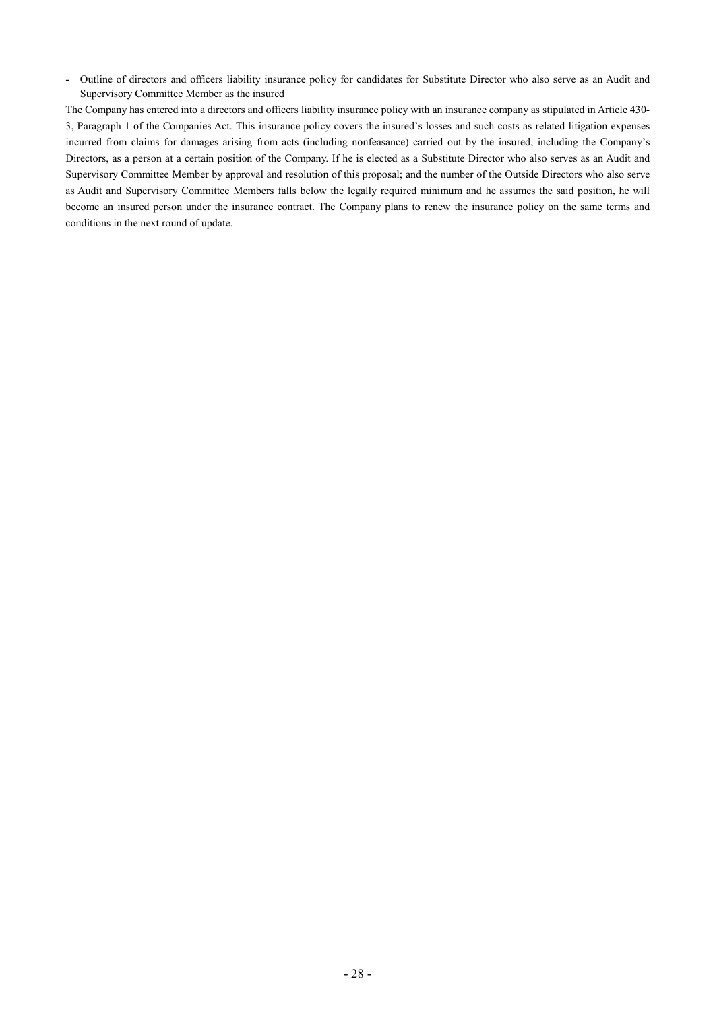- Outline of directors and officers liability insurance policy for candidates for Substitute Director who also serve as an Audit and Supervisory Committee Member as the insured

The Company has entered into a directors and officers liability insurance policy with an insurance company as stipulated in Article 430- 3, Paragraph 1 of the Companies Act. This insurance policy covers the insured's losses and such costs as related litigation expenses incurred from claims for damages arising from acts (including nonfeasance) carried out by the insured, including the Company's Directors, as a person at a certain position of the Company. If he is elected as a Substitute Director who also serves as an Audit and Supervisory Committee Member by approval and resolution of this proposal; and the number of the Outside Directors who also serve as Audit and Supervisory Committee Members falls below the legally required minimum and he assumes the said position, he will become an insured person under the insurance contract. The Company plans to renew the insurance policy on the same terms and conditions in the next round of update.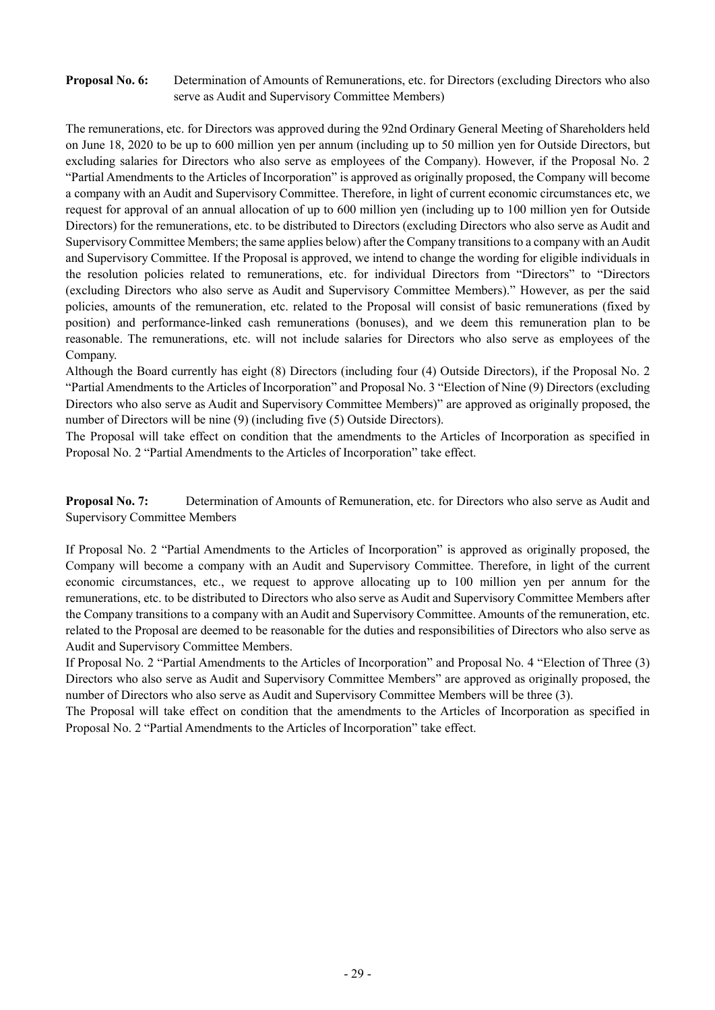## **Proposal No. 6:** Determination of Amounts of Remunerations, etc. for Directors (excluding Directors who also serve as Audit and Supervisory Committee Members)

The remunerations, etc. for Directors was approved during the 92nd Ordinary General Meeting of Shareholders held on June 18, 2020 to be up to 600 million yen per annum (including up to 50 million yen for Outside Directors, but excluding salaries for Directors who also serve as employees of the Company). However, if the Proposal No. 2 "Partial Amendments to the Articles of Incorporation" is approved as originally proposed, the Company will become a company with an Audit and Supervisory Committee. Therefore, in light of current economic circumstances etc, we request for approval of an annual allocation of up to 600 million yen (including up to 100 million yen for Outside Directors) for the remunerations, etc. to be distributed to Directors (excluding Directors who also serve as Audit and Supervisory Committee Members; the same applies below) after the Company transitions to a company with an Audit and Supervisory Committee. If the Proposal is approved, we intend to change the wording for eligible individuals in the resolution policies related to remunerations, etc. for individual Directors from "Directors" to "Directors (excluding Directors who also serve as Audit and Supervisory Committee Members)." However, as per the said policies, amounts of the remuneration, etc. related to the Proposal will consist of basic remunerations (fixed by position) and performance-linked cash remunerations (bonuses), and we deem this remuneration plan to be reasonable. The remunerations, etc. will not include salaries for Directors who also serve as employees of the Company.

Although the Board currently has eight (8) Directors (including four (4) Outside Directors), if the Proposal No. 2 "Partial Amendments to the Articles of Incorporation" and Proposal No. 3 "Election of Nine (9) Directors (excluding Directors who also serve as Audit and Supervisory Committee Members)" are approved as originally proposed, the number of Directors will be nine (9) (including five (5) Outside Directors).

The Proposal will take effect on condition that the amendments to the Articles of Incorporation as specified in Proposal No. 2 "Partial Amendments to the Articles of Incorporation" take effect.

**Proposal No. 7:** Determination of Amounts of Remuneration, etc. for Directors who also serve as Audit and Supervisory Committee Members

If Proposal No. 2 "Partial Amendments to the Articles of Incorporation" is approved as originally proposed, the Company will become a company with an Audit and Supervisory Committee. Therefore, in light of the current economic circumstances, etc., we request to approve allocating up to 100 million yen per annum for the remunerations, etc. to be distributed to Directors who also serve as Audit and Supervisory Committee Members after the Company transitions to a company with an Audit and Supervisory Committee. Amounts of the remuneration, etc. related to the Proposal are deemed to be reasonable for the duties and responsibilities of Directors who also serve as Audit and Supervisory Committee Members.

If Proposal No. 2 "Partial Amendments to the Articles of Incorporation" and Proposal No. 4 "Election of Three (3) Directors who also serve as Audit and Supervisory Committee Members" are approved as originally proposed, the number of Directors who also serve as Audit and Supervisory Committee Members will be three (3).

The Proposal will take effect on condition that the amendments to the Articles of Incorporation as specified in Proposal No. 2 "Partial Amendments to the Articles of Incorporation" take effect.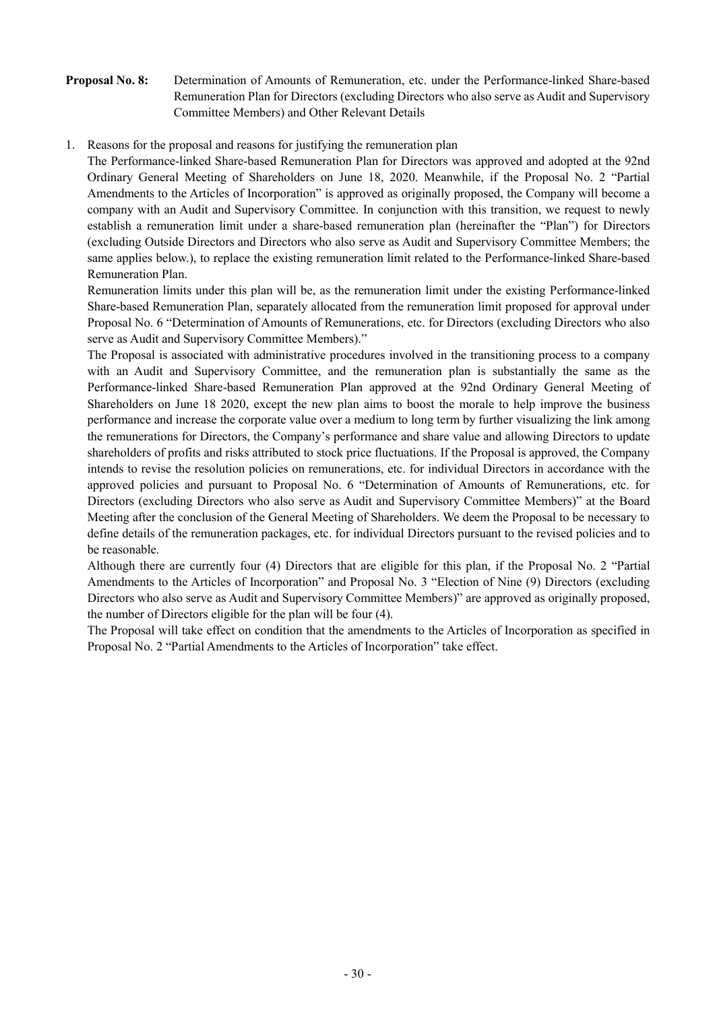# **Proposal No. 8:** Determination of Amounts of Remuneration, etc. under the Performance-linked Share-based Remuneration Plan for Directors (excluding Directors who also serve as Audit and Supervisory Committee Members) and Other Relevant Details

1. Reasons for the proposal and reasons for justifying the remuneration plan

The Performance-linked Share-based Remuneration Plan for Directors was approved and adopted at the 92nd Ordinary General Meeting of Shareholders on June 18, 2020. Meanwhile, if the Proposal No. 2 "Partial Amendments to the Articles of Incorporation" is approved as originally proposed, the Company will become a company with an Audit and Supervisory Committee. In conjunction with this transition, we request to newly establish a remuneration limit under a share-based remuneration plan (hereinafter the "Plan") for Directors (excluding Outside Directors and Directors who also serve as Audit and Supervisory Committee Members; the same applies below.), to replace the existing remuneration limit related to the Performance-linked Share-based Remuneration Plan.

Remuneration limits under this plan will be, as the remuneration limit under the existing Performance-linked Share-based Remuneration Plan, separately allocated from the remuneration limit proposed for approval under Proposal No. 6 "Determination of Amounts of Remunerations, etc. for Directors (excluding Directors who also serve as Audit and Supervisory Committee Members)."

The Proposal is associated with administrative procedures involved in the transitioning process to a company with an Audit and Supervisory Committee, and the remuneration plan is substantially the same as the Performance-linked Share-based Remuneration Plan approved at the 92nd Ordinary General Meeting of Shareholders on June 18 2020, except the new plan aims to boost the morale to help improve the business performance and increase the corporate value over a medium to long term by further visualizing the link among the remunerations for Directors, the Company's performance and share value and allowing Directors to update shareholders of profits and risks attributed to stock price fluctuations. If the Proposal is approved, the Company intends to revise the resolution policies on remunerations, etc. for individual Directors in accordance with the approved policies and pursuant to Proposal No. 6 "Determination of Amounts of Remunerations, etc. for Directors (excluding Directors who also serve as Audit and Supervisory Committee Members)" at the Board Meeting after the conclusion of the General Meeting of Shareholders. We deem the Proposal to be necessary to define details of the remuneration packages, etc. for individual Directors pursuant to the revised policies and to be reasonable.

Although there are currently four (4) Directors that are eligible for this plan, if the Proposal No. 2 "Partial Amendments to the Articles of Incorporation" and Proposal No. 3 "Election of Nine (9) Directors (excluding Directors who also serve as Audit and Supervisory Committee Members)" are approved as originally proposed, the number of Directors eligible for the plan will be four (4).

The Proposal will take effect on condition that the amendments to the Articles of Incorporation as specified in Proposal No. 2 "Partial Amendments to the Articles of Incorporation" take effect.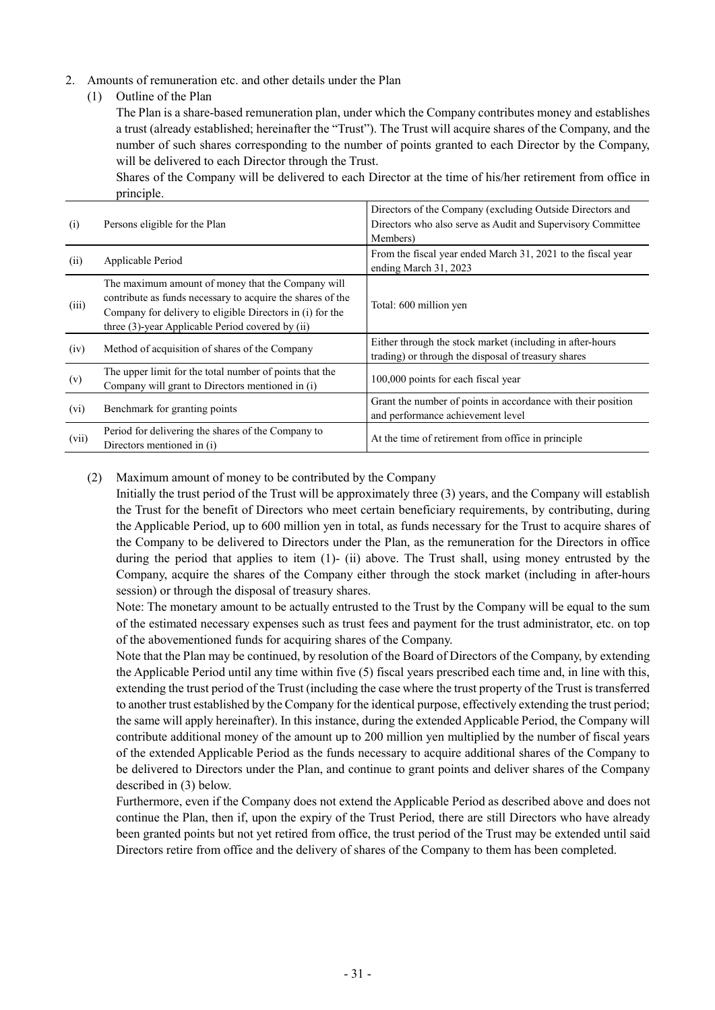- 2. Amounts of remuneration etc. and other details under the Plan
	- (1) Outline of the Plan

The Plan is a share-based remuneration plan, under which the Company contributes money and establishes a trust (already established; hereinafter the "Trust"). The Trust will acquire shares of the Company, and the number of such shares corresponding to the number of points granted to each Director by the Company, will be delivered to each Director through the Trust.

Shares of the Company will be delivered to each Director at the time of his/her retirement from office in principle.

| (i)     | Persons eligible for the Plan                                                                                                                                                                                                    | Directors of the Company (excluding Outside Directors and<br>Directors who also serve as Audit and Supervisory Committee<br>Members) |
|---------|----------------------------------------------------------------------------------------------------------------------------------------------------------------------------------------------------------------------------------|--------------------------------------------------------------------------------------------------------------------------------------|
| (ii)    | Applicable Period                                                                                                                                                                                                                | From the fiscal year ended March 31, 2021 to the fiscal year<br>ending March 31, 2023                                                |
| (iii)   | The maximum amount of money that the Company will<br>contribute as funds necessary to acquire the shares of the<br>Company for delivery to eligible Directors in (i) for the<br>three (3)-year Applicable Period covered by (ii) | Total: 600 million yen                                                                                                               |
| (iv)    | Method of acquisition of shares of the Company                                                                                                                                                                                   | Either through the stock market (including in after-hours<br>trading) or through the disposal of treasury shares                     |
| (v)     | The upper limit for the total number of points that the<br>Company will grant to Directors mentioned in (i)                                                                                                                      | 100,000 points for each fiscal year                                                                                                  |
| $(v_i)$ | Benchmark for granting points                                                                                                                                                                                                    | Grant the number of points in accordance with their position<br>and performance achievement level                                    |
| (vii)   | Period for delivering the shares of the Company to<br>Directors mentioned in (i)                                                                                                                                                 | At the time of retirement from office in principle                                                                                   |

(2) Maximum amount of money to be contributed by the Company

Initially the trust period of the Trust will be approximately three (3) years, and the Company will establish the Trust for the benefit of Directors who meet certain beneficiary requirements, by contributing, during the Applicable Period, up to 600 million yen in total, as funds necessary for the Trust to acquire shares of the Company to be delivered to Directors under the Plan, as the remuneration for the Directors in office during the period that applies to item (1)- (ii) above. The Trust shall, using money entrusted by the Company, acquire the shares of the Company either through the stock market (including in after-hours session) or through the disposal of treasury shares.

Note: The monetary amount to be actually entrusted to the Trust by the Company will be equal to the sum of the estimated necessary expenses such as trust fees and payment for the trust administrator, etc. on top of the abovementioned funds for acquiring shares of the Company.

Note that the Plan may be continued, by resolution of the Board of Directors of the Company, by extending the Applicable Period until any time within five (5) fiscal years prescribed each time and, in line with this, extending the trust period of the Trust (including the case where the trust property of the Trust is transferred to another trust established by the Company for the identical purpose, effectively extending the trust period; the same will apply hereinafter). In this instance, during the extended Applicable Period, the Company will contribute additional money of the amount up to 200 million yen multiplied by the number of fiscal years of the extended Applicable Period as the funds necessary to acquire additional shares of the Company to be delivered to Directors under the Plan, and continue to grant points and deliver shares of the Company described in (3) below.

Furthermore, even if the Company does not extend the Applicable Period as described above and does not continue the Plan, then if, upon the expiry of the Trust Period, there are still Directors who have already been granted points but not yet retired from office, the trust period of the Trust may be extended until said Directors retire from office and the delivery of shares of the Company to them has been completed.